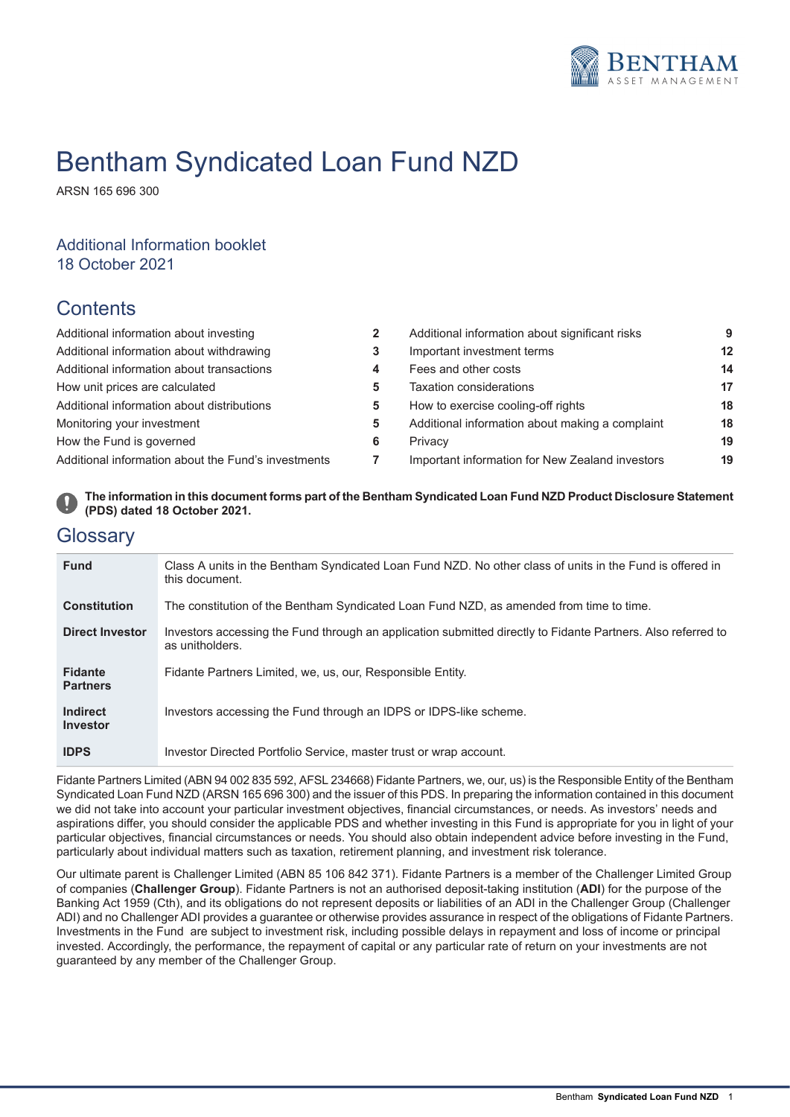

# Bentham Syndicated Loan Fund NZD

ARSN 165 696 300

## Additional Information booklet 18 October 2021

# **Contents**

| Additional information about investing              | $\overline{2}$ |
|-----------------------------------------------------|----------------|
| Additional information about withdrawing            | 3              |
| Additional information about transactions           | 4              |
| How unit prices are calculated                      | 5              |
| Additional information about distributions          | 5              |
| Monitoring your investment                          | 5              |
| How the Fund is governed                            | 6              |
| Additional information about the Fund's investments | 7              |

| Additional information about investing              |   | Additional information about significant risks  | 9               |
|-----------------------------------------------------|---|-------------------------------------------------|-----------------|
| Additional information about withdrawing            |   | Important investment terms                      | 12 <sup>2</sup> |
| Additional information about transactions           | 4 | Fees and other costs                            | 14              |
| How unit prices are calculated                      |   | Taxation considerations                         | 17              |
| Additional information about distributions          | 5 | How to exercise cooling-off rights              | 18              |
| Monitoring your investment                          | 5 | Additional information about making a complaint | 18              |
| How the Fund is governed                            | 6 | Privacy                                         | 19              |
| Additional information about the Fund's investments |   | Important information for New Zealand investors | 19              |
|                                                     |   |                                                 |                 |

## The information in this document forms part of the Bentham Syndicated Loan Fund NZD Product Disclosure Statement **(PDS) dated 18 October 2021.**

## **Glossarv**

| <b>Fund</b>                        | Class A units in the Bentham Syndicated Loan Fund NZD. No other class of units in the Fund is offered in<br>this document.      |
|------------------------------------|---------------------------------------------------------------------------------------------------------------------------------|
| <b>Constitution</b>                | The constitution of the Bentham Syndicated Loan Fund NZD, as amended from time to time.                                         |
| <b>Direct Investor</b>             | Investors accessing the Fund through an application submitted directly to Fidante Partners. Also referred to<br>as unitholders. |
| <b>Fidante</b><br><b>Partners</b>  | Fidante Partners Limited, we, us, our, Responsible Entity.                                                                      |
| <b>Indirect</b><br><b>Investor</b> | Investors accessing the Fund through an IDPS or IDPS-like scheme.                                                               |
| <b>IDPS</b>                        | Investor Directed Portfolio Service, master trust or wrap account.                                                              |

Fidante Partners Limited (ABN 94 002 835 592, AFSL 234668) Fidante Partners, we, our, us) is the Responsible Entity of the Bentham Syndicated Loan Fund NZD (ARSN 165 696 300) and the issuer of this PDS. In preparing the information contained in this document we did not take into account your particular investment objectives, financial circumstances, or needs. As investors' needs and aspirations differ, you should consider the applicable PDS and whether investing in this Fund is appropriate for you in light of your particular objectives, financial circumstances or needs. You should also obtain independent advice before investing in the Fund, particularly about individual matters such as taxation, retirement planning, and investment risk tolerance.

Our ultimate parent is Challenger Limited (ABN 85 106 842 371). Fidante Partners is a member of the Challenger Limited Group of companies (**Challenger Group**). Fidante Partners is not an authorised deposit-taking institution (**ADI**) for the purpose of the Banking Act 1959 (Cth), and its obligations do not represent deposits or liabilities of an ADI in the Challenger Group (Challenger ADI) and no Challenger ADI provides a guarantee or otherwise provides assurance in respect of the obligations of Fidante Partners. Investments in the Fund are subject to investment risk, including possible delays in repayment and loss of income or principal invested. Accordingly, the performance, the repayment of capital or any particular rate of return on your investments are not guaranteed by any member of the Challenger Group.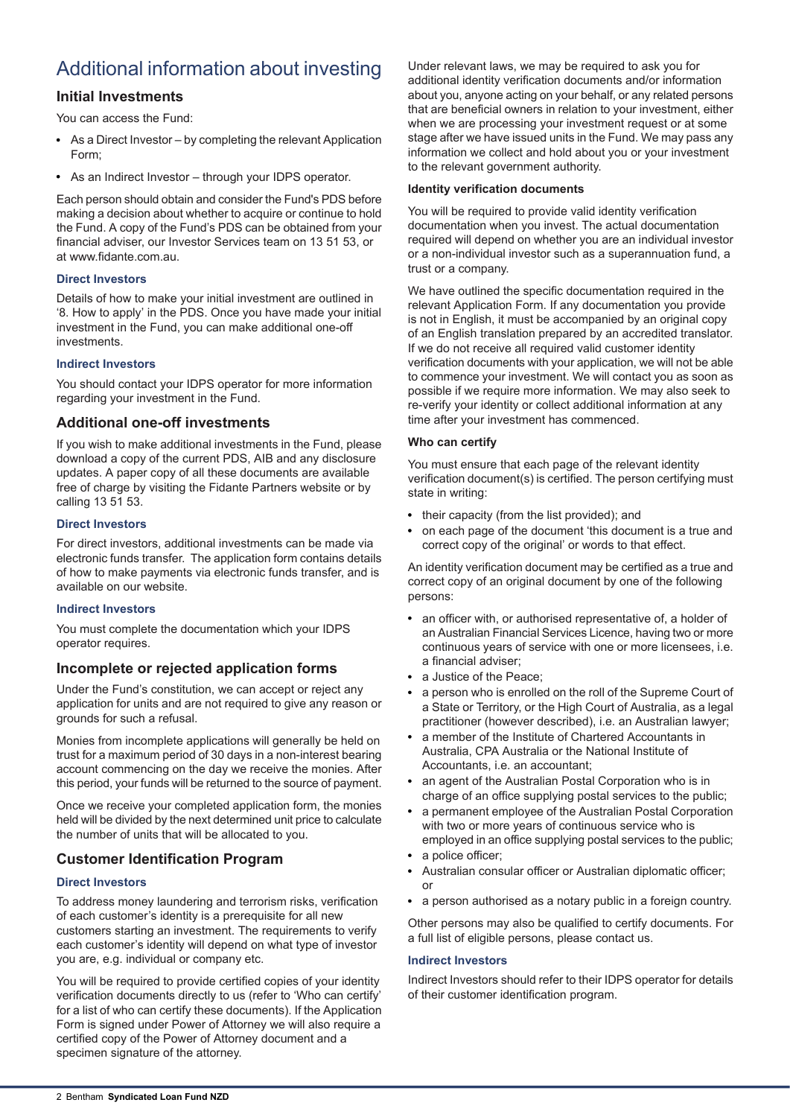# Additional information about investing

## **Initial Investments**

You can access the Fund:

- As a Direct Investor by completing the relevant Application Form;
- As an Indirect Investor through your IDPS operator.

Each person should obtain and consider the Fund's PDS before making a decision about whether to acquire or continue to hold the Fund. A copy of the Fund's PDS can be obtained from your financial adviser, our Investor Services team on 13 51 53, or at www.fidante.com.au.

## **Direct Investors**

Details of how to make your initial investment are outlined in '8. How to apply' in the PDS. Once you have made your initial investment in the Fund, you can make additional one-off investments.

## **Indirect Investors**

You should contact your IDPS operator for more information regarding your investment in the Fund.

## **Additional one-off investments**

If you wish to make additional investments in the Fund, please download a copy of the current PDS, AIB and any disclosure updates. A paper copy of all these documents are available free of charge by visiting the Fidante Partners website or by calling 13 51 53.

## **Direct Investors**

For direct investors, additional investments can be made via electronic funds transfer. The application form contains details of how to make payments via electronic funds transfer, and is available on our website.

### **Indirect Investors**

You must complete the documentation which your IDPS operator requires.

## **Incomplete or rejected application forms**

Under the Fund's constitution, we can accept or reject any application for units and are not required to give any reason or grounds for such a refusal.

Monies from incomplete applications will generally be held on trust for a maximum period of 30 days in a non-interest bearing account commencing on the day we receive the monies. After this period, your funds will be returned to the source of payment.

Once we receive your completed application form, the monies held will be divided by the next determined unit price to calculate the number of units that will be allocated to you.

## **Customer Identification Program**

## **Direct Investors**

To address money laundering and terrorism risks, verification of each customer's identity is a prerequisite for all new customers starting an investment. The requirements to verify each customer's identity will depend on what type of investor you are, e.g. individual or company etc.

You will be required to provide certified copies of your identity verification documents directly to us (refer to 'Who can certify' for a list of who can certify these documents). If the Application Form is signed under Power of Attorney we will also require a certified copy of the Power of Attorney document and a specimen signature of the attorney.

Under relevant laws, we may be required to ask you for additional identity verification documents and/or information about you, anyone acting on your behalf, or any related persons that are beneficial owners in relation to your investment, either when we are processing your investment request or at some stage after we have issued units in the Fund. We may pass any information we collect and hold about you or your investment to the relevant government authority.

### **Identity verification documents**

You will be required to provide valid identity verification documentation when you invest. The actual documentation required will depend on whether you are an individual investor or a non-individual investor such as a superannuation fund, a trust or a company.

We have outlined the specific documentation required in the relevant Application Form. If any documentation you provide is not in English, it must be accompanied by an original copy of an English translation prepared by an accredited translator. If we do not receive all required valid customer identity verification documents with your application, we will not be able to commence your investment. We will contact you as soon as possible if we require more information. We may also seek to re-verify your identity or collect additional information at any time after your investment has commenced.

## **Who can certify**

You must ensure that each page of the relevant identity verification document(s) is certified. The person certifying must state in writing:

- their capacity (from the list provided); and
- on each page of the document 'this document is a true and correct copy of the original' or words to that effect.

An identity verification document may be certified as a true and correct copy of an original document by one of the following persons:

- an officer with, or authorised representative of, a holder of an Australian Financial Services Licence, having two or more continuous years of service with one or more licensees, i.e. a financial adviser;
- a Justice of the Peace;
- a person who is enrolled on the roll of the Supreme Court of a State or Territory, or the High Court of Australia, as a legal practitioner (however described), i.e. an Australian lawyer;
- a member of the Institute of Chartered Accountants in Australia, CPA Australia or the National Institute of Accountants, i.e. an accountant;
- an agent of the Australian Postal Corporation who is in charge of an office supplying postal services to the public;
- a permanent employee of the Australian Postal Corporation with two or more years of continuous service who is employed in an office supplying postal services to the public;
- $\bullet$ a police officer;
- Australian consular officer or Australian diplomatic officer; or
- a person authorised as a notary public in a foreign country.

Other persons may also be qualified to certify documents. For a full list of eligible persons, please contact us.

### **Indirect Investors**

Indirect Investors should refer to their IDPS operator for details of their customer identification program.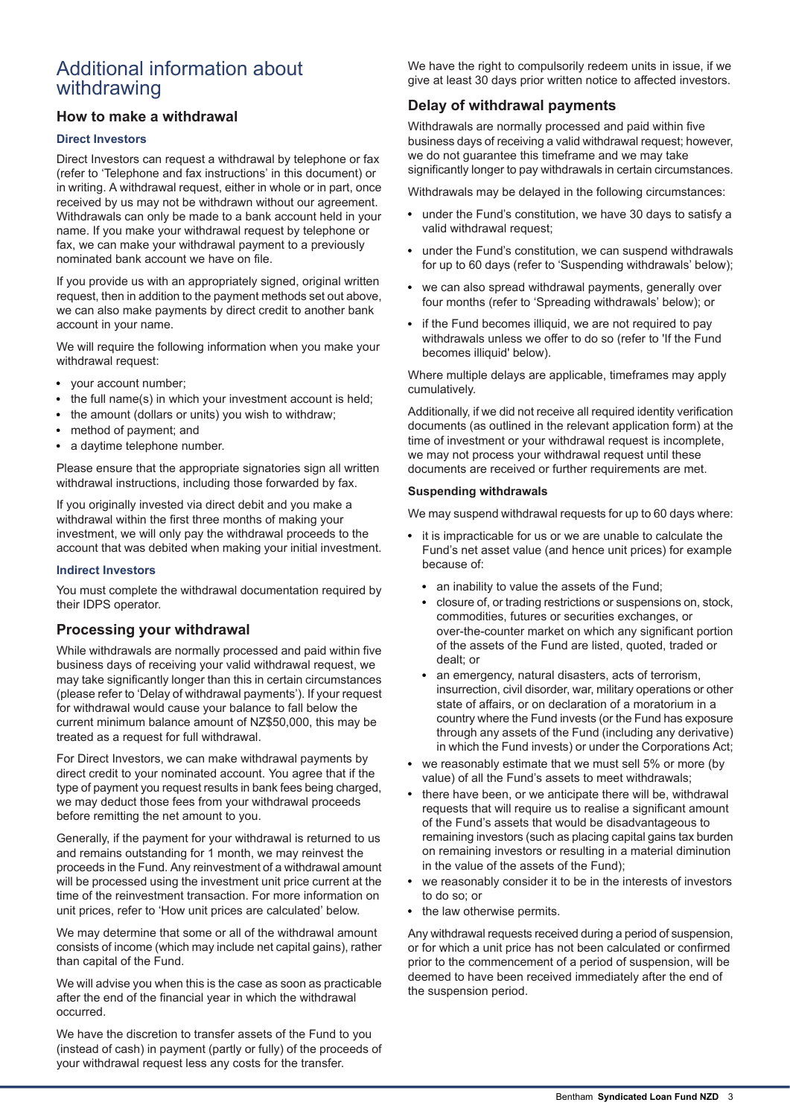# Additional information about withdrawing

## **How to make a withdrawal**

### **Direct Investors**

Direct Investors can request a withdrawal by telephone or fax (refer to 'Telephone and fax instructions' in this document) or in writing. A withdrawal request, either in whole or in part, once received by us may not be withdrawn without our agreement. Withdrawals can only be made to a bank account held in your name. If you make your withdrawal request by telephone or fax, we can make your withdrawal payment to a previously nominated bank account we have on file.

If you provide us with an appropriately signed, original written request, then in addition to the payment methods set out above, we can also make payments by direct credit to another bank account in your name.

We will require the following information when you make your withdrawal request:

- your account number;
- the full name(s) in which your investment account is held;
- the amount (dollars or units) you wish to withdraw;
- method of payment; and
- a daytime telephone number.

Please ensure that the appropriate signatories sign all written withdrawal instructions, including those forwarded by fax.

If you originally invested via direct debit and you make a withdrawal within the first three months of making your investment, we will only pay the withdrawal proceeds to the account that was debited when making your initial investment.

#### **Indirect Investors**

You must complete the withdrawal documentation required by their IDPS operator.

### **Processing your withdrawal**

While withdrawals are normally processed and paid within five business days of receiving your valid withdrawal request, we may take significantly longer than this in certain circumstances (please refer to 'Delay of withdrawal payments'). If your request for withdrawal would cause your balance to fall below the current minimum balance amount of NZ\$50,000, this may be treated as a request for full withdrawal.

For Direct Investors, we can make withdrawal payments by direct credit to your nominated account. You agree that if the type of payment you request results in bank fees being charged, we may deduct those fees from your withdrawal proceeds before remitting the net amount to you.

Generally, if the payment for your withdrawal is returned to us and remains outstanding for 1 month, we may reinvest the proceeds in the Fund. Any reinvestment of a withdrawal amount will be processed using the investment unit price current at the time of the reinvestment transaction. For more information on unit prices, refer to 'How unit prices are calculated' below.

We may determine that some or all of the withdrawal amount consists of income (which may include net capital gains), rather than capital of the Fund.

We will advise you when this is the case as soon as practicable after the end of the financial year in which the withdrawal occurred.

We have the discretion to transfer assets of the Fund to you (instead of cash) in payment (partly or fully) of the proceeds of your withdrawal request less any costs for the transfer.

We have the right to compulsorily redeem units in issue, if we give at least 30 days prior written notice to affected investors.

## **Delay of withdrawal payments**

Withdrawals are normally processed and paid within five business days of receiving a valid withdrawal request; however, we do not guarantee this timeframe and we may take significantly longer to pay withdrawals in certain circumstances.

Withdrawals may be delayed in the following circumstances:

- under the Fund's constitution, we have 30 days to satisfy a valid withdrawal request;
- under the Fund's constitution, we can suspend withdrawals for up to 60 days (refer to 'Suspending withdrawals' below);
- we can also spread withdrawal payments, generally over four months (refer to 'Spreading withdrawals' below); or
- if the Fund becomes illiquid, we are not required to pay withdrawals unless we offer to do so (refer to 'If the Fund becomes illiquid' below).

Where multiple delays are applicable, timeframes may apply cumulatively.

Additionally, if we did not receive all required identity verification documents (as outlined in the relevant application form) at the time of investment or your withdrawal request is incomplete, we may not process your withdrawal request until these documents are received or further requirements are met.

#### **Suspending withdrawals**

We may suspend withdrawal requests for up to 60 days where:

- it is impracticable for us or we are unable to calculate the  $\bullet$ Fund's net asset value (and hence unit prices) for example because of:
	- an inability to value the assets of the Fund;
	- closure of, or trading restrictions or suspensions on, stock, commodities, futures or securities exchanges, or over-the-counter market on which any significant portion of the assets of the Fund are listed, quoted, traded or dealt; or
	- an emergency, natural disasters, acts of terrorism, insurrection, civil disorder, war, military operations or other state of affairs, or on declaration of a moratorium in a country where the Fund invests (or the Fund has exposure through any assets of the Fund (including any derivative) in which the Fund invests) or under the Corporations Act;
- we reasonably estimate that we must sell 5% or more (by value) of all the Fund's assets to meet withdrawals;
- there have been, or we anticipate there will be, withdrawal requests that will require us to realise a significant amount of the Fund's assets that would be disadvantageous to remaining investors (such as placing capital gains tax burden on remaining investors or resulting in a material diminution in the value of the assets of the Fund);
- we reasonably consider it to be in the interests of investors  $\bullet$ to do so; or
- the law otherwise permits.

Any withdrawal requests received during a period of suspension, or for which a unit price has not been calculated or confirmed prior to the commencement of a period of suspension, will be deemed to have been received immediately after the end of the suspension period.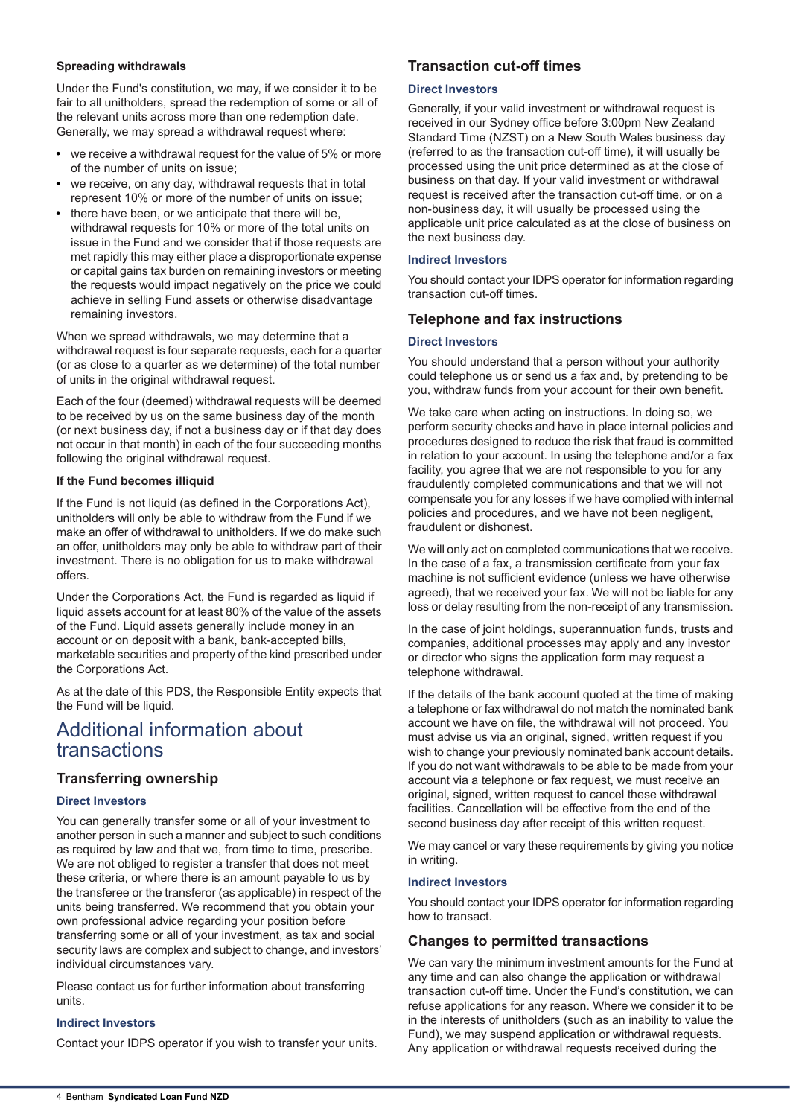#### **Spreading withdrawals**

Under the Fund's constitution, we may, if we consider it to be fair to all unitholders, spread the redemption of some or all of the relevant units across more than one redemption date. Generally, we may spread a withdrawal request where:

- we receive a withdrawal request for the value of 5% or more of the number of units on issue;
- we receive, on any day, withdrawal requests that in total represent 10% or more of the number of units on issue;
- there have been, or we anticipate that there will be, withdrawal requests for 10% or more of the total units on issue in the Fund and we consider that if those requests are met rapidly this may either place a disproportionate expense or capital gains tax burden on remaining investors or meeting the requests would impact negatively on the price we could achieve in selling Fund assets or otherwise disadvantage remaining investors.

When we spread withdrawals, we may determine that a withdrawal request is four separate requests, each for a quarter (or as close to a quarter as we determine) of the total number of units in the original withdrawal request.

Each of the four (deemed) withdrawal requests will be deemed to be received by us on the same business day of the month (or next business day, if not a business day or if that day does not occur in that month) in each of the four succeeding months following the original withdrawal request.

#### **If the Fund becomes illiquid**

If the Fund is not liquid (as defined in the Corporations Act), unitholders will only be able to withdraw from the Fund if we make an offer of withdrawal to unitholders. If we do make such an offer, unitholders may only be able to withdraw part of their investment. There is no obligation for us to make withdrawal offers.

Under the Corporations Act, the Fund is regarded as liquid if liquid assets account for at least 80% of the value of the assets of the Fund. Liquid assets generally include money in an account or on deposit with a bank, bank-accepted bills, marketable securities and property of the kind prescribed under the Corporations Act.

As at the date of this PDS, the Responsible Entity expects that the Fund will be liquid.

## Additional information about transactions

## **Transferring ownership**

### **Direct Investors**

You can generally transfer some or all of your investment to another person in such a manner and subject to such conditions as required by law and that we, from time to time, prescribe. We are not obliged to register a transfer that does not meet these criteria, or where there is an amount payable to us by the transferee or the transferor (as applicable) in respect of the units being transferred. We recommend that you obtain your own professional advice regarding your position before transferring some or all of your investment, as tax and social security laws are complex and subject to change, and investors' individual circumstances vary.

Please contact us for further information about transferring units.

### **Indirect Investors**

Contact your IDPS operator if you wish to transfer your units.

## **Transaction cut-off times**

#### **Direct Investors**

Generally, if your valid investment or withdrawal request is received in our Sydney office before 3:00pm New Zealand Standard Time (NZST) on a New South Wales business day (referred to as the transaction cut-off time), it will usually be processed using the unit price determined as at the close of business on that day. If your valid investment or withdrawal request is received after the transaction cut-off time, or on a non-business day, it will usually be processed using the applicable unit price calculated as at the close of business on the next business day.

#### **Indirect Investors**

You should contact your IDPS operator for information regarding transaction cut-off times.

## **Telephone and fax instructions**

#### **Direct Investors**

You should understand that a person without your authority could telephone us or send us a fax and, by pretending to be you, withdraw funds from your account for their own benefit.

We take care when acting on instructions. In doing so, we perform security checks and have in place internal policies and procedures designed to reduce the risk that fraud is committed in relation to your account. In using the telephone and/or a fax facility, you agree that we are not responsible to you for any fraudulently completed communications and that we will not compensate you for any losses if we have complied with internal policies and procedures, and we have not been negligent, fraudulent or dishonest.

We will only act on completed communications that we receive. In the case of a fax, a transmission certificate from your fax machine is not sufficient evidence (unless we have otherwise agreed), that we received your fax. We will not be liable for any loss or delay resulting from the non-receipt of any transmission.

In the case of joint holdings, superannuation funds, trusts and companies, additional processes may apply and any investor or director who signs the application form may request a telephone withdrawal.

If the details of the bank account quoted at the time of making a telephone or fax withdrawal do not match the nominated bank account we have on file, the withdrawal will not proceed. You must advise us via an original, signed, written request if you wish to change your previously nominated bank account details. If you do not want withdrawals to be able to be made from your account via a telephone or fax request, we must receive an original, signed, written request to cancel these withdrawal facilities. Cancellation will be effective from the end of the second business day after receipt of this written request.

We may cancel or vary these requirements by giving you notice in writing.

#### **Indirect Investors**

You should contact your IDPS operator for information regarding how to transact.

### **Changes to permitted transactions**

We can vary the minimum investment amounts for the Fund at any time and can also change the application or withdrawal transaction cut-off time. Under the Fund's constitution, we can refuse applications for any reason. Where we consider it to be in the interests of unitholders (such as an inability to value the Fund), we may suspend application or withdrawal requests. Any application or withdrawal requests received during the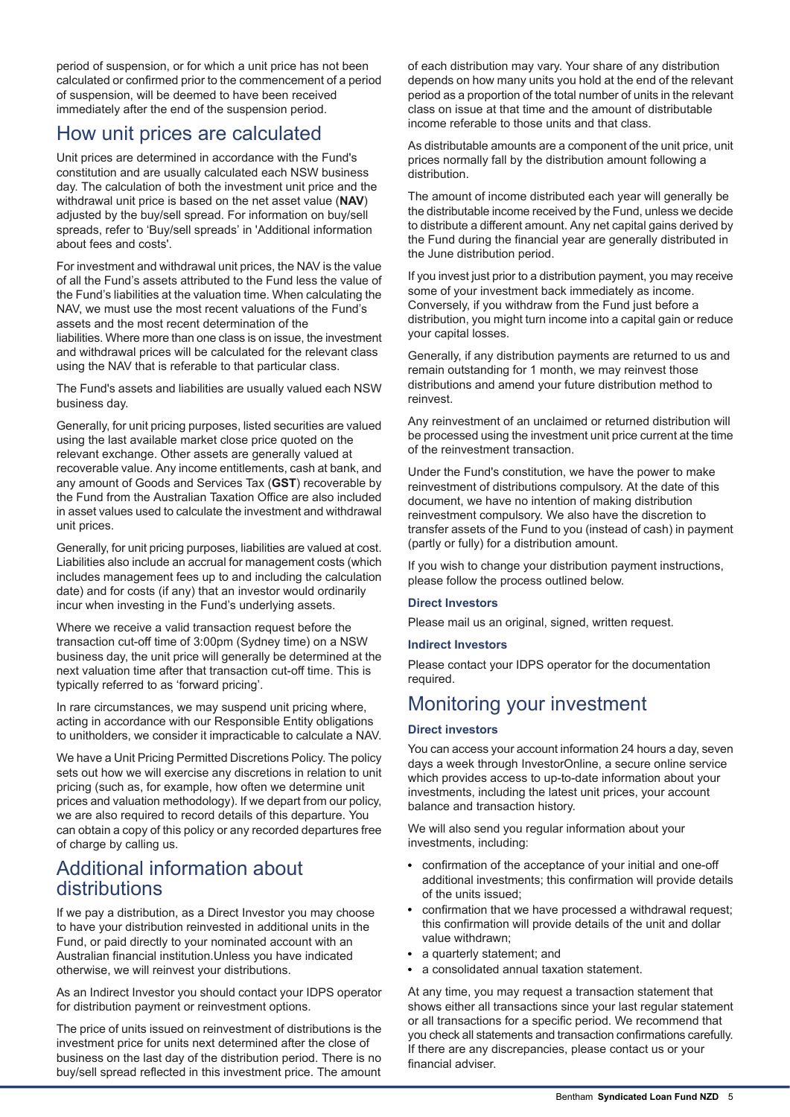period of suspension, or for which a unit price has not been calculated or confirmed prior to the commencement of a period of suspension, will be deemed to have been received immediately after the end of the suspension period.

# How unit prices are calculated

Unit prices are determined in accordance with the Fund's constitution and are usually calculated each NSW business day. The calculation of both the investment unit price and the withdrawal unit price is based on the net asset value (**NAV**) adjusted by the buy/sell spread. For information on buy/sell spreads, refer to 'Buy/sell spreads' in 'Additional information about fees and costs'.

For investment and withdrawal unit prices, the NAV is the value of all the Fund's assets attributed to the Fund less the value of the Fund's liabilities at the valuation time. When calculating the NAV, we must use the most recent valuations of the Fund's assets and the most recent determination of the liabilities. Where more than one class is on issue, the investment and withdrawal prices will be calculated for the relevant class using the NAV that is referable to that particular class.

The Fund's assets and liabilities are usually valued each NSW business day.

Generally, for unit pricing purposes, listed securities are valued using the last available market close price quoted on the relevant exchange. Other assets are generally valued at recoverable value. Any income entitlements, cash at bank, and any amount of Goods and Services Tax (**GST**) recoverable by the Fund from the Australian Taxation Office are also included in asset values used to calculate the investment and withdrawal unit prices.

Generally, for unit pricing purposes, liabilities are valued at cost. Liabilities also include an accrual for management costs (which includes management fees up to and including the calculation date) and for costs (if any) that an investor would ordinarily incur when investing in the Fund's underlying assets.

Where we receive a valid transaction request before the transaction cut-off time of 3:00pm (Sydney time) on a NSW business day, the unit price will generally be determined at the next valuation time after that transaction cut-off time. This is typically referred to as 'forward pricing'.

In rare circumstances, we may suspend unit pricing where, acting in accordance with our Responsible Entity obligations to unitholders, we consider it impracticable to calculate a NAV.

We have a Unit Pricing Permitted Discretions Policy. The policy sets out how we will exercise any discretions in relation to unit pricing (such as, for example, how often we determine unit prices and valuation methodology). If we depart from our policy, we are also required to record details of this departure. You can obtain a copy of this policy or any recorded departures free of charge by calling us.

# Additional information about distributions

If we pay a distribution, as a Direct Investor you may choose to have your distribution reinvested in additional units in the Fund, or paid directly to your nominated account with an Australian financial institution.Unless you have indicated otherwise, we will reinvest your distributions.

As an Indirect Investor you should contact your IDPS operator for distribution payment or reinvestment options.

The price of units issued on reinvestment of distributions is the investment price for units next determined after the close of business on the last day of the distribution period. There is no buy/sell spread reflected in this investment price. The amount

of each distribution may vary. Your share of any distribution depends on how many units you hold at the end of the relevant period as a proportion of the total number of units in the relevant class on issue at that time and the amount of distributable income referable to those units and that class.

As distributable amounts are a component of the unit price, unit prices normally fall by the distribution amount following a distribution.

The amount of income distributed each year will generally be the distributable income received by the Fund, unless we decide to distribute a different amount. Any net capital gains derived by the Fund during the financial year are generally distributed in the June distribution period.

If you invest just prior to a distribution payment, you may receive some of your investment back immediately as income. Conversely, if you withdraw from the Fund just before a distribution, you might turn income into a capital gain or reduce your capital losses.

Generally, if any distribution payments are returned to us and remain outstanding for 1 month, we may reinvest those distributions and amend your future distribution method to reinvest.

Any reinvestment of an unclaimed or returned distribution will be processed using the investment unit price current at the time of the reinvestment transaction.

Under the Fund's constitution, we have the power to make reinvestment of distributions compulsory. At the date of this document, we have no intention of making distribution reinvestment compulsory. We also have the discretion to transfer assets of the Fund to you (instead of cash) in payment (partly or fully) for a distribution amount.

If you wish to change your distribution payment instructions, please follow the process outlined below.

### **Direct Investors**

Please mail us an original, signed, written request.

### **Indirect Investors**

Please contact your IDPS operator for the documentation required.

# Monitoring your investment

#### **Direct investors**

You can access your account information 24 hours a day, seven days a week through InvestorOnline, a secure online service which provides access to up-to-date information about your investments, including the latest unit prices, your account balance and transaction history.

We will also send you regular information about your investments, including:

- confirmation of the acceptance of your initial and one-off additional investments; this confirmation will provide details of the units issued;
- confirmation that we have processed a withdrawal request; this confirmation will provide details of the unit and dollar value withdrawn;
- a quarterly statement: and
- a consolidated annual taxation statement.

At any time, you may request a transaction statement that shows either all transactions since your last regular statement or all transactions for a specific period. We recommend that you check all statements and transaction confirmations carefully. If there are any discrepancies, please contact us or your financial adviser.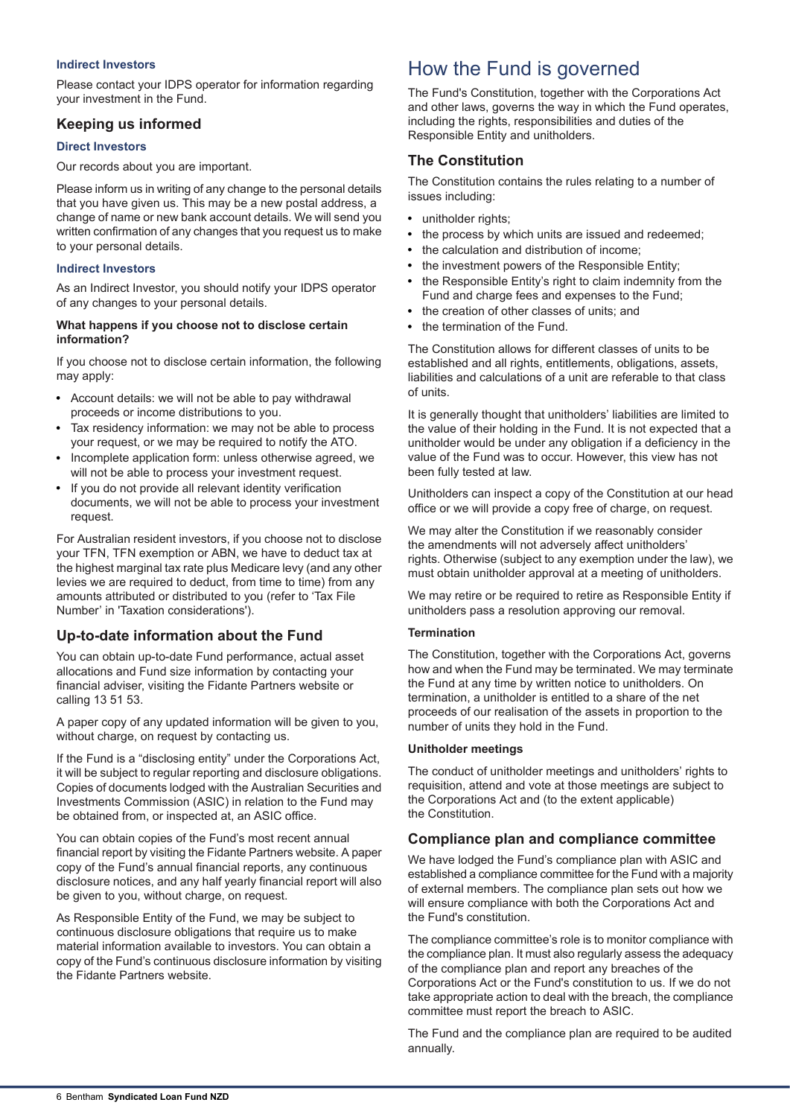#### **Indirect Investors**

Please contact your IDPS operator for information regarding your investment in the Fund.

## **Keeping us informed**

#### **Direct Investors**

Our records about you are important.

Please inform us in writing of any change to the personal details that you have given us. This may be a new postal address, a change of name or new bank account details. We will send you written confirmation of any changes that you request us to make to your personal details.

#### **Indirect Investors**

As an Indirect Investor, you should notify your IDPS operator of any changes to your personal details.

#### **What happens if you choose not to disclose certain information?**

If you choose not to disclose certain information, the following may apply:

- Account details: we will not be able to pay withdrawal proceeds or income distributions to you.
- Tax residency information: we may not be able to process your request, or we may be required to notify the ATO.
- Incomplete application form: unless otherwise agreed, we will not be able to process your investment request.
- If you do not provide all relevant identity verification documents, we will not be able to process your investment request.

For Australian resident investors, if you choose not to disclose your TFN, TFN exemption or ABN, we have to deduct tax at the highest marginal tax rate plus Medicare levy (and any other levies we are required to deduct, from time to time) from any amounts attributed or distributed to you (refer to 'Tax File Number' in 'Taxation considerations').

## **Up-to-date information about the Fund**

You can obtain up-to-date Fund performance, actual asset allocations and Fund size information by contacting your financial adviser, visiting the Fidante Partners website or calling 13 51 53.

A paper copy of any updated information will be given to you, without charge, on request by contacting us.

If the Fund is a "disclosing entity" under the Corporations Act, it will be subject to regular reporting and disclosure obligations. Copies of documents lodged with the Australian Securities and Investments Commission (ASIC) in relation to the Fund may be obtained from, or inspected at, an ASIC office.

You can obtain copies of the Fund's most recent annual financial report by visiting the Fidante Partners website. A paper copy of the Fund's annual financial reports, any continuous disclosure notices, and any half yearly financial report will also be given to you, without charge, on request.

As Responsible Entity of the Fund, we may be subject to continuous disclosure obligations that require us to make material information available to investors. You can obtain a copy of the Fund's continuous disclosure information by visiting the Fidante Partners website.

# How the Fund is governed

The Fund's Constitution, together with the Corporations Act and other laws, governs the way in which the Fund operates, including the rights, responsibilities and duties of the Responsible Entity and unitholders.

## **The Constitution**

The Constitution contains the rules relating to a number of issues including:

- unitholder rights;
- the process by which units are issued and redeemed;  $\bullet$
- the calculation and distribution of income;
- the investment powers of the Responsible Entity;
- the Responsible Entity's right to claim indemnity from the Fund and charge fees and expenses to the Fund;
- the creation of other classes of units; and
- the termination of the Fund.

The Constitution allows for different classes of units to be established and all rights, entitlements, obligations, assets, liabilities and calculations of a unit are referable to that class of units.

It is generally thought that unitholders' liabilities are limited to the value of their holding in the Fund. It is not expected that a unitholder would be under any obligation if a deficiency in the value of the Fund was to occur. However, this view has not been fully tested at law.

Unitholders can inspect a copy of the Constitution at our head office or we will provide a copy free of charge, on request.

We may alter the Constitution if we reasonably consider the amendments will not adversely affect unitholders' rights. Otherwise (subject to any exemption under the law), we must obtain unitholder approval at a meeting of unitholders.

We may retire or be required to retire as Responsible Entity if unitholders pass a resolution approving our removal.

### **Termination**

The Constitution, together with the Corporations Act, governs how and when the Fund may be terminated. We may terminate the Fund at any time by written notice to unitholders. On termination, a unitholder is entitled to a share of the net proceeds of our realisation of the assets in proportion to the number of units they hold in the Fund.

### **Unitholder meetings**

The conduct of unitholder meetings and unitholders' rights to requisition, attend and vote at those meetings are subject to the Corporations Act and (to the extent applicable) the Constitution.

## **Compliance plan and compliance committee**

We have lodged the Fund's compliance plan with ASIC and established a compliance committee for the Fund with a majority of external members. The compliance plan sets out how we will ensure compliance with both the Corporations Act and the Fund's constitution.

The compliance committee's role is to monitor compliance with the compliance plan. It must also regularly assess the adequacy of the compliance plan and report any breaches of the Corporations Act or the Fund's constitution to us. If we do not take appropriate action to deal with the breach, the compliance committee must report the breach to ASIC.

The Fund and the compliance plan are required to be audited annually.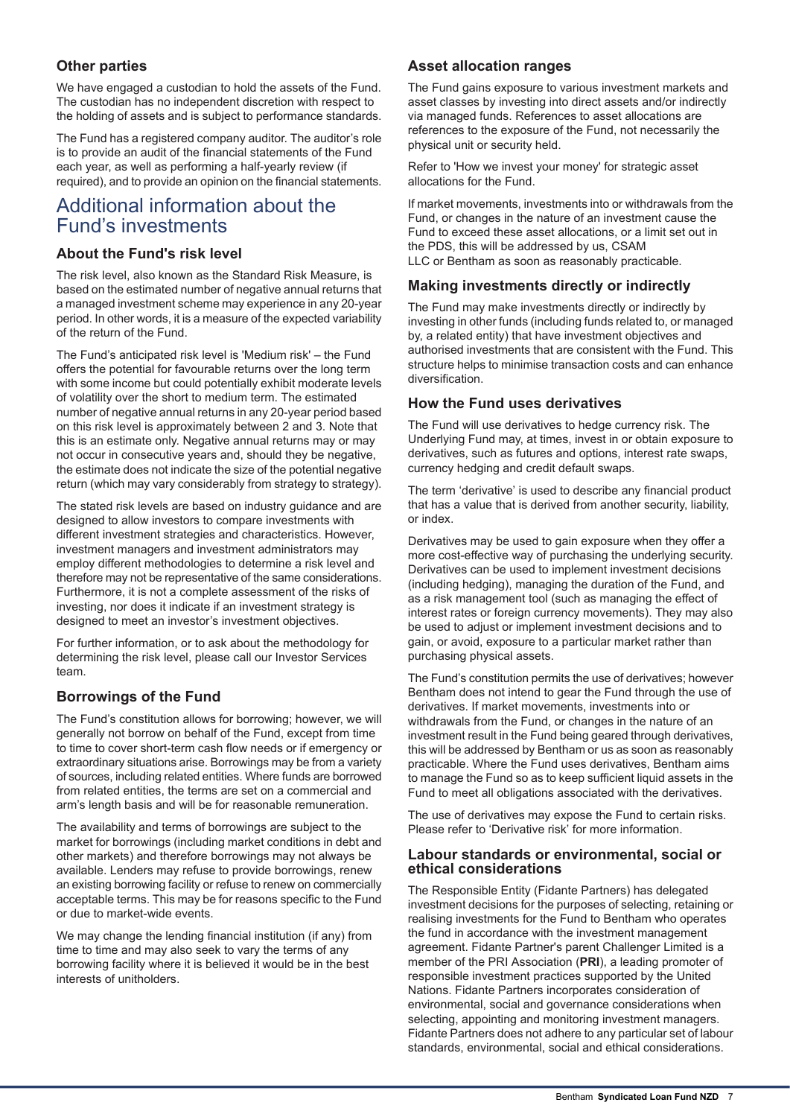## **Other parties**

We have engaged a custodian to hold the assets of the Fund. The custodian has no independent discretion with respect to the holding of assets and is subject to performance standards.

The Fund has a registered company auditor. The auditor's role is to provide an audit of the financial statements of the Fund each year, as well as performing a half-yearly review (if required), and to provide an opinion on the financial statements.

## Additional information about the Fund's investments

## **About the Fund's risk level**

The risk level, also known as the Standard Risk Measure, is based on the estimated number of negative annual returns that a managed investment scheme may experience in any 20-year period. In other words, it is a measure of the expected variability of the return of the Fund.

The Fund's anticipated risk level is 'Medium risk' – the Fund offers the potential for favourable returns over the long term with some income but could potentially exhibit moderate levels of volatility over the short to medium term. The estimated number of negative annual returns in any 20-year period based on this risk level is approximately between 2 and 3. Note that this is an estimate only. Negative annual returns may or may not occur in consecutive years and, should they be negative, the estimate does not indicate the size of the potential negative return (which may vary considerably from strategy to strategy).

The stated risk levels are based on industry guidance and are designed to allow investors to compare investments with different investment strategies and characteristics. However, investment managers and investment administrators may employ different methodologies to determine a risk level and therefore may not be representative of the same considerations. Furthermore, it is not a complete assessment of the risks of investing, nor does it indicate if an investment strategy is designed to meet an investor's investment objectives.

For further information, or to ask about the methodology for determining the risk level, please call our Investor Services team.

## **Borrowings of the Fund**

The Fund's constitution allows for borrowing; however, we will generally not borrow on behalf of the Fund, except from time to time to cover short-term cash flow needs or if emergency or extraordinary situations arise. Borrowings may be from a variety of sources, including related entities. Where funds are borrowed from related entities, the terms are set on a commercial and arm's length basis and will be for reasonable remuneration.

The availability and terms of borrowings are subject to the market for borrowings (including market conditions in debt and other markets) and therefore borrowings may not always be available. Lenders may refuse to provide borrowings, renew an existing borrowing facility or refuse to renew on commercially acceptable terms. This may be for reasons specific to the Fund or due to market-wide events.

We may change the lending financial institution (if any) from time to time and may also seek to vary the terms of any borrowing facility where it is believed it would be in the best interests of unitholders.

## **Asset allocation ranges**

The Fund gains exposure to various investment markets and asset classes by investing into direct assets and/or indirectly via managed funds. References to asset allocations are references to the exposure of the Fund, not necessarily the physical unit or security held.

Refer to 'How we invest your money' for strategic asset allocations for the Fund.

If market movements, investments into or withdrawals from the Fund, or changes in the nature of an investment cause the Fund to exceed these asset allocations, or a limit set out in the PDS, this will be addressed by us, CSAM LLC or Bentham as soon as reasonably practicable.

## **Making investments directly or indirectly**

The Fund may make investments directly or indirectly by investing in other funds (including funds related to, or managed by, a related entity) that have investment objectives and authorised investments that are consistent with the Fund. This structure helps to minimise transaction costs and can enhance diversification.

## **How the Fund uses derivatives**

The Fund will use derivatives to hedge currency risk. The Underlying Fund may, at times, invest in or obtain exposure to derivatives, such as futures and options, interest rate swaps, currency hedging and credit default swaps.

The term 'derivative' is used to describe any financial product that has a value that is derived from another security, liability, or index.

Derivatives may be used to gain exposure when they offer a more cost-effective way of purchasing the underlying security. Derivatives can be used to implement investment decisions (including hedging), managing the duration of the Fund, and as a risk management tool (such as managing the effect of interest rates or foreign currency movements). They may also be used to adjust or implement investment decisions and to gain, or avoid, exposure to a particular market rather than purchasing physical assets.

The Fund's constitution permits the use of derivatives; however Bentham does not intend to gear the Fund through the use of derivatives. If market movements, investments into or withdrawals from the Fund, or changes in the nature of an investment result in the Fund being geared through derivatives, this will be addressed by Bentham or us as soon as reasonably practicable. Where the Fund uses derivatives, Bentham aims to manage the Fund so as to keep sufficient liquid assets in the Fund to meet all obligations associated with the derivatives.

The use of derivatives may expose the Fund to certain risks. Please refer to 'Derivative risk' for more information.

## **Labour standards or environmental, social or ethical considerations**

The Responsible Entity (Fidante Partners) has delegated investment decisions for the purposes of selecting, retaining or realising investments for the Fund to Bentham who operates the fund in accordance with the investment management agreement. Fidante Partner's parent Challenger Limited is a member of the PRI Association (**PRI**), a leading promoter of responsible investment practices supported by the United Nations. Fidante Partners incorporates consideration of environmental, social and governance considerations when selecting, appointing and monitoring investment managers. Fidante Partners does not adhere to any particular set of labour standards, environmental, social and ethical considerations.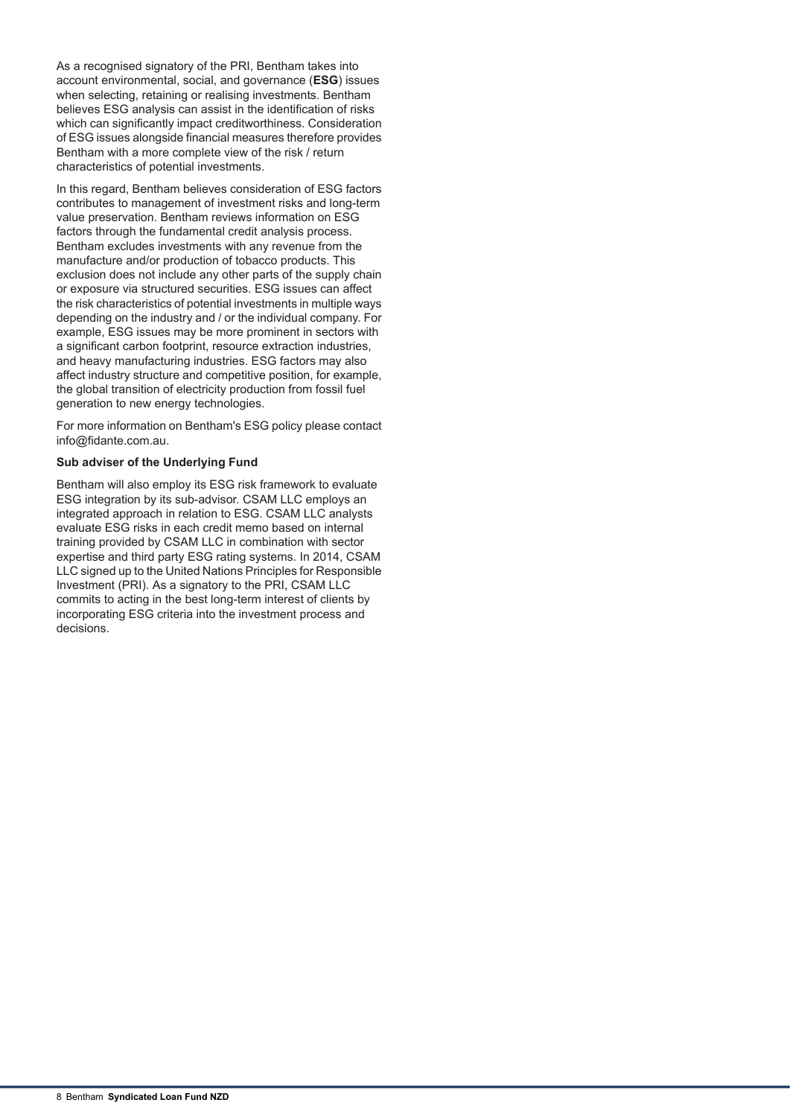As a recognised signatory of the PRI, Bentham takes into account environmental, social, and governance (**ESG**) issues when selecting, retaining or realising investments. Bentham believes ESG analysis can assist in the identification of risks which can significantly impact creditworthiness. Consideration of ESG issues alongside financial measures therefore provides Bentham with a more complete view of the risk / return characteristics of potential investments.

In this regard, Bentham believes consideration of ESG factors contributes to management of investment risks and long-term value preservation. Bentham reviews information on ESG factors through the fundamental credit analysis process. Bentham excludes investments with any revenue from the manufacture and/or production of tobacco products. This exclusion does not include any other parts of the supply chain or exposure via structured securities. ESG issues can affect the risk characteristics of potential investments in multiple ways depending on the industry and / or the individual company. For example, ESG issues may be more prominent in sectors with a significant carbon footprint, resource extraction industries, and heavy manufacturing industries. ESG factors may also affect industry structure and competitive position, for example, the global transition of electricity production from fossil fuel generation to new energy technologies.

For more information on Bentham's ESG policy please contact info@fidante.com.au.

### **Sub adviser of the Underlying Fund**

Bentham will also employ its ESG risk framework to evaluate ESG integration by its sub-advisor. CSAM LLC employs an integrated approach in relation to ESG. CSAM LLC analysts evaluate ESG risks in each credit memo based on internal training provided by CSAM LLC in combination with sector expertise and third party ESG rating systems. In 2014, CSAM LLC signed up to the United Nations Principles for Responsible Investment (PRI). As a signatory to the PRI, CSAM LLC commits to acting in the best long-term interest of clients by incorporating ESG criteria into the investment process and decisions.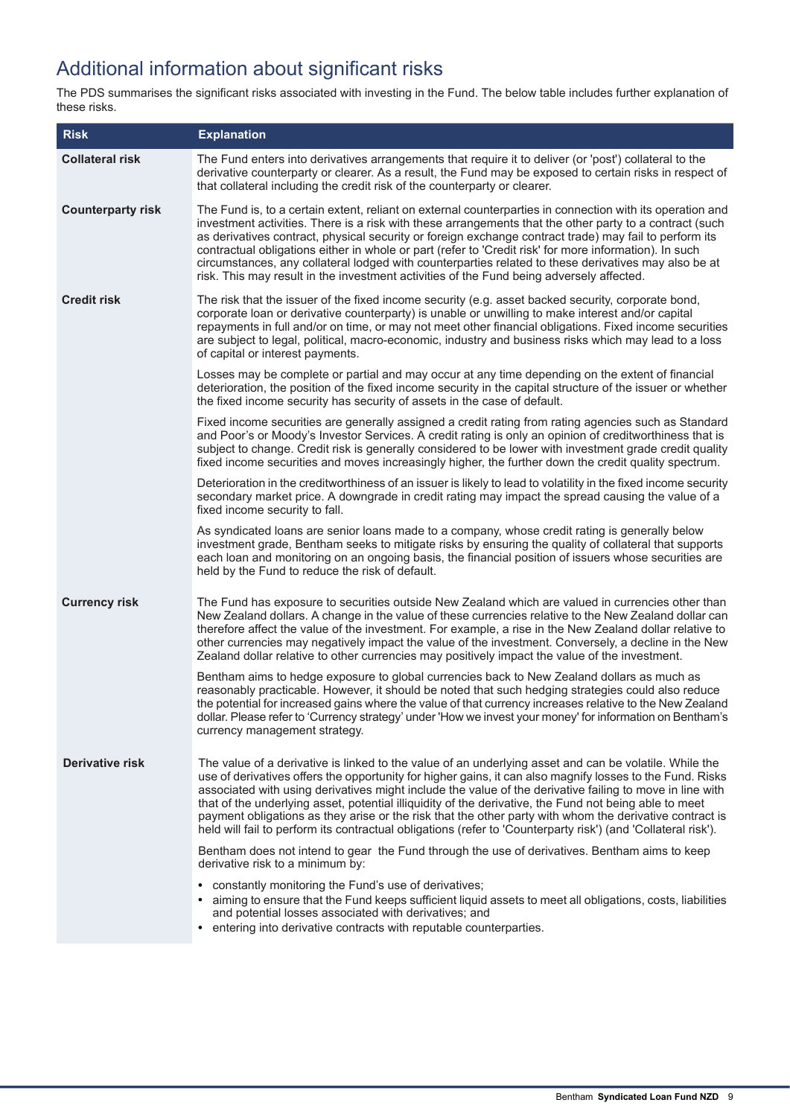# Additional information about significant risks

The PDS summarises the significant risks associated with investing in the Fund. The below table includes further explanation of these risks.

| <b>Risk</b>              | <b>Explanation</b>                                                                                                                                                                                                                                                                                                                                                                                                                                                                                                                                                                                                                                                    |
|--------------------------|-----------------------------------------------------------------------------------------------------------------------------------------------------------------------------------------------------------------------------------------------------------------------------------------------------------------------------------------------------------------------------------------------------------------------------------------------------------------------------------------------------------------------------------------------------------------------------------------------------------------------------------------------------------------------|
| <b>Collateral risk</b>   | The Fund enters into derivatives arrangements that require it to deliver (or 'post') collateral to the<br>derivative counterparty or clearer. As a result, the Fund may be exposed to certain risks in respect of<br>that collateral including the credit risk of the counterparty or clearer.                                                                                                                                                                                                                                                                                                                                                                        |
| <b>Counterparty risk</b> | The Fund is, to a certain extent, reliant on external counterparties in connection with its operation and<br>investment activities. There is a risk with these arrangements that the other party to a contract (such<br>as derivatives contract, physical security or foreign exchange contract trade) may fail to perform its<br>contractual obligations either in whole or part (refer to 'Credit risk' for more information). In such<br>circumstances, any collateral lodged with counterparties related to these derivatives may also be at<br>risk. This may result in the investment activities of the Fund being adversely affected.                          |
| <b>Credit risk</b>       | The risk that the issuer of the fixed income security (e.g. asset backed security, corporate bond,<br>corporate loan or derivative counterparty) is unable or unwilling to make interest and/or capital<br>repayments in full and/or on time, or may not meet other financial obligations. Fixed income securities<br>are subject to legal, political, macro-economic, industry and business risks which may lead to a loss<br>of capital or interest payments.                                                                                                                                                                                                       |
|                          | Losses may be complete or partial and may occur at any time depending on the extent of financial<br>deterioration, the position of the fixed income security in the capital structure of the issuer or whether<br>the fixed income security has security of assets in the case of default.                                                                                                                                                                                                                                                                                                                                                                            |
|                          | Fixed income securities are generally assigned a credit rating from rating agencies such as Standard<br>and Poor's or Moody's Investor Services. A credit rating is only an opinion of creditworthiness that is<br>subject to change. Credit risk is generally considered to be lower with investment grade credit quality<br>fixed income securities and moves increasingly higher, the further down the credit quality spectrum.                                                                                                                                                                                                                                    |
|                          | Deterioration in the creditworthiness of an issuer is likely to lead to volatility in the fixed income security<br>secondary market price. A downgrade in credit rating may impact the spread causing the value of a<br>fixed income security to fall.                                                                                                                                                                                                                                                                                                                                                                                                                |
|                          | As syndicated loans are senior loans made to a company, whose credit rating is generally below<br>investment grade, Bentham seeks to mitigate risks by ensuring the quality of collateral that supports<br>each loan and monitoring on an ongoing basis, the financial position of issuers whose securities are<br>held by the Fund to reduce the risk of default.                                                                                                                                                                                                                                                                                                    |
| <b>Currency risk</b>     | The Fund has exposure to securities outside New Zealand which are valued in currencies other than<br>New Zealand dollars. A change in the value of these currencies relative to the New Zealand dollar can<br>therefore affect the value of the investment. For example, a rise in the New Zealand dollar relative to<br>other currencies may negatively impact the value of the investment. Conversely, a decline in the New<br>Zealand dollar relative to other currencies may positively impact the value of the investment.                                                                                                                                       |
|                          | Bentham aims to hedge exposure to global currencies back to New Zealand dollars as much as<br>reasonably practicable. However, it should be noted that such hedging strategies could also reduce<br>the potential for increased gains where the value of that currency increases relative to the New Zealand<br>dollar. Please refer to 'Currency strategy' under 'How we invest your money' for information on Bentham's<br>currency management strategy.                                                                                                                                                                                                            |
| Derivative risk          | The value of a derivative is linked to the value of an underlying asset and can be volatile. While the<br>use of derivatives offers the opportunity for higher gains, it can also magnify losses to the Fund. Risks<br>associated with using derivatives might include the value of the derivative failing to move in line with<br>that of the underlying asset, potential illiquidity of the derivative, the Fund not being able to meet<br>payment obligations as they arise or the risk that the other party with whom the derivative contract is<br>held will fail to perform its contractual obligations (refer to 'Counterparty risk') (and 'Collateral risk'). |
|                          | Bentham does not intend to gear the Fund through the use of derivatives. Bentham aims to keep<br>derivative risk to a minimum by:                                                                                                                                                                                                                                                                                                                                                                                                                                                                                                                                     |
|                          | constantly monitoring the Fund's use of derivatives;<br>• aiming to ensure that the Fund keeps sufficient liquid assets to meet all obligations, costs, liabilities<br>and potential losses associated with derivatives; and<br>• entering into derivative contracts with reputable counterparties.                                                                                                                                                                                                                                                                                                                                                                   |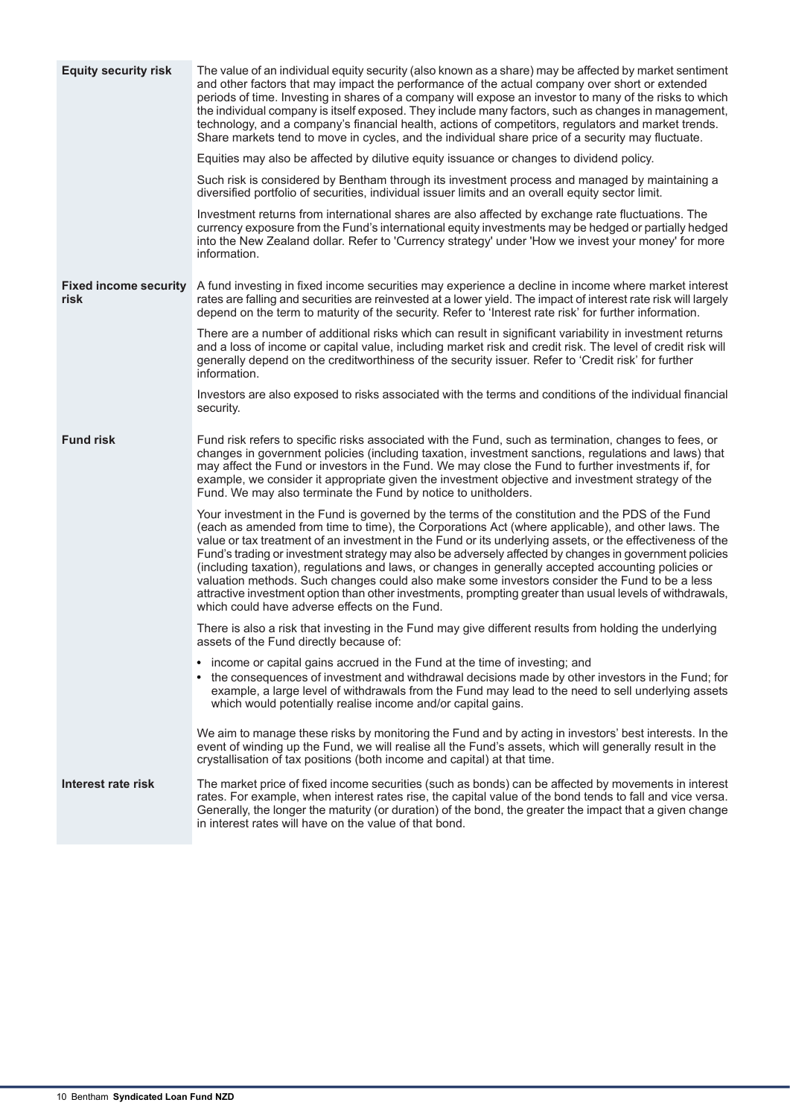| <b>Equity security risk</b>          | The value of an individual equity security (also known as a share) may be affected by market sentiment<br>and other factors that may impact the performance of the actual company over short or extended<br>periods of time. Investing in shares of a company will expose an investor to many of the risks to which<br>the individual company is itself exposed. They include many factors, such as changes in management,<br>technology, and a company's financial health, actions of competitors, regulators and market trends.<br>Share markets tend to move in cycles, and the individual share price of a security may fluctuate.                                                                                                                                                            |
|--------------------------------------|---------------------------------------------------------------------------------------------------------------------------------------------------------------------------------------------------------------------------------------------------------------------------------------------------------------------------------------------------------------------------------------------------------------------------------------------------------------------------------------------------------------------------------------------------------------------------------------------------------------------------------------------------------------------------------------------------------------------------------------------------------------------------------------------------|
|                                      | Equities may also be affected by dilutive equity issuance or changes to dividend policy.                                                                                                                                                                                                                                                                                                                                                                                                                                                                                                                                                                                                                                                                                                          |
|                                      | Such risk is considered by Bentham through its investment process and managed by maintaining a<br>diversified portfolio of securities, individual issuer limits and an overall equity sector limit.                                                                                                                                                                                                                                                                                                                                                                                                                                                                                                                                                                                               |
|                                      | Investment returns from international shares are also affected by exchange rate fluctuations. The<br>currency exposure from the Fund's international equity investments may be hedged or partially hedged<br>into the New Zealand dollar. Refer to 'Currency strategy' under 'How we invest your money' for more<br>information.                                                                                                                                                                                                                                                                                                                                                                                                                                                                  |
| <b>Fixed income security</b><br>risk | A fund investing in fixed income securities may experience a decline in income where market interest<br>rates are falling and securities are reinvested at a lower yield. The impact of interest rate risk will largely<br>depend on the term to maturity of the security. Refer to 'Interest rate risk' for further information.                                                                                                                                                                                                                                                                                                                                                                                                                                                                 |
|                                      | There are a number of additional risks which can result in significant variability in investment returns<br>and a loss of income or capital value, including market risk and credit risk. The level of credit risk will<br>generally depend on the creditworthiness of the security issuer. Refer to 'Credit risk' for further<br>information.                                                                                                                                                                                                                                                                                                                                                                                                                                                    |
|                                      | Investors are also exposed to risks associated with the terms and conditions of the individual financial<br>security.                                                                                                                                                                                                                                                                                                                                                                                                                                                                                                                                                                                                                                                                             |
| <b>Fund risk</b>                     | Fund risk refers to specific risks associated with the Fund, such as termination, changes to fees, or<br>changes in government policies (including taxation, investment sanctions, regulations and laws) that<br>may affect the Fund or investors in the Fund. We may close the Fund to further investments if, for<br>example, we consider it appropriate given the investment objective and investment strategy of the<br>Fund. We may also terminate the Fund by notice to unitholders.                                                                                                                                                                                                                                                                                                        |
|                                      | Your investment in the Fund is governed by the terms of the constitution and the PDS of the Fund<br>(each as amended from time to time), the Corporations Act (where applicable), and other laws. The<br>value or tax treatment of an investment in the Fund or its underlying assets, or the effectiveness of the<br>Fund's trading or investment strategy may also be adversely affected by changes in government policies<br>(including taxation), regulations and laws, or changes in generally accepted accounting policies or<br>valuation methods. Such changes could also make some investors consider the Fund to be a less<br>attractive investment option than other investments, prompting greater than usual levels of withdrawals,<br>which could have adverse effects on the Fund. |
|                                      | There is also a risk that investing in the Fund may give different results from holding the underlying<br>assets of the Fund directly because of:                                                                                                                                                                                                                                                                                                                                                                                                                                                                                                                                                                                                                                                 |
|                                      | income or capital gains accrued in the Fund at the time of investing; and<br>• the consequences of investment and withdrawal decisions made by other investors in the Fund; for<br>example, a large level of withdrawals from the Fund may lead to the need to sell underlying assets<br>which would potentially realise income and/or capital gains.                                                                                                                                                                                                                                                                                                                                                                                                                                             |
|                                      | We aim to manage these risks by monitoring the Fund and by acting in investors' best interests. In the<br>event of winding up the Fund, we will realise all the Fund's assets, which will generally result in the<br>crystallisation of tax positions (both income and capital) at that time.                                                                                                                                                                                                                                                                                                                                                                                                                                                                                                     |
| Interest rate risk                   | The market price of fixed income securities (such as bonds) can be affected by movements in interest<br>rates. For example, when interest rates rise, the capital value of the bond tends to fall and vice versa.<br>Generally, the longer the maturity (or duration) of the bond, the greater the impact that a given change<br>in interest rates will have on the value of that bond.                                                                                                                                                                                                                                                                                                                                                                                                           |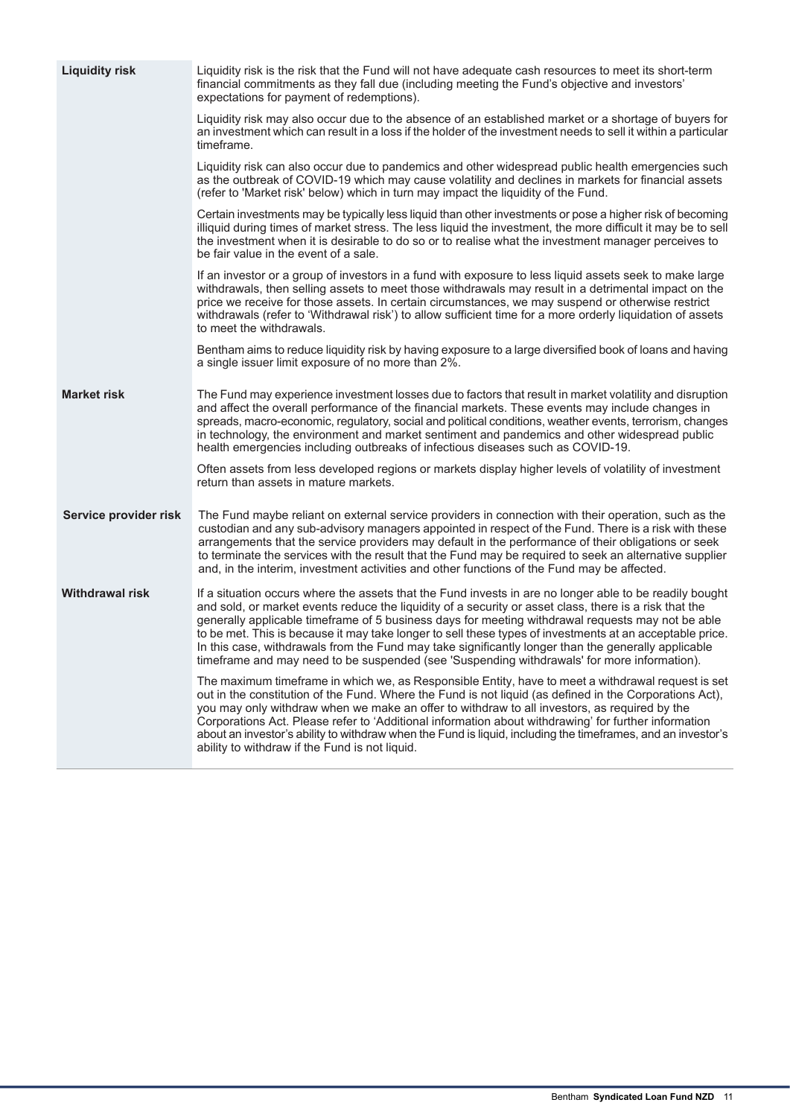| <b>Liquidity risk</b>  | Liquidity risk is the risk that the Fund will not have adequate cash resources to meet its short-term<br>financial commitments as they fall due (including meeting the Fund's objective and investors'<br>expectations for payment of redemptions).                                                                                                                                                                                                                                                                                                                                                                                      |
|------------------------|------------------------------------------------------------------------------------------------------------------------------------------------------------------------------------------------------------------------------------------------------------------------------------------------------------------------------------------------------------------------------------------------------------------------------------------------------------------------------------------------------------------------------------------------------------------------------------------------------------------------------------------|
|                        | Liquidity risk may also occur due to the absence of an established market or a shortage of buyers for<br>an investment which can result in a loss if the holder of the investment needs to sell it within a particular<br>timeframe.                                                                                                                                                                                                                                                                                                                                                                                                     |
|                        | Liquidity risk can also occur due to pandemics and other widespread public health emergencies such<br>as the outbreak of COVID-19 which may cause volatility and declines in markets for financial assets<br>(refer to 'Market risk' below) which in turn may impact the liquidity of the Fund.                                                                                                                                                                                                                                                                                                                                          |
|                        | Certain investments may be typically less liquid than other investments or pose a higher risk of becoming<br>illiquid during times of market stress. The less liquid the investment, the more difficult it may be to sell<br>the investment when it is desirable to do so or to realise what the investment manager perceives to<br>be fair value in the event of a sale.                                                                                                                                                                                                                                                                |
|                        | If an investor or a group of investors in a fund with exposure to less liquid assets seek to make large<br>withdrawals, then selling assets to meet those withdrawals may result in a detrimental impact on the<br>price we receive for those assets. In certain circumstances, we may suspend or otherwise restrict<br>withdrawals (refer to 'Withdrawal risk') to allow sufficient time for a more orderly liquidation of assets<br>to meet the withdrawals.                                                                                                                                                                           |
|                        | Bentham aims to reduce liquidity risk by having exposure to a large diversified book of loans and having<br>a single issuer limit exposure of no more than 2%.                                                                                                                                                                                                                                                                                                                                                                                                                                                                           |
| <b>Market risk</b>     | The Fund may experience investment losses due to factors that result in market volatility and disruption<br>and affect the overall performance of the financial markets. These events may include changes in<br>spreads, macro-economic, regulatory, social and political conditions, weather events, terrorism, changes<br>in technology, the environment and market sentiment and pandemics and other widespread public<br>health emergencies including outbreaks of infectious diseases such as COVID-19.                                                                                                                             |
|                        | Often assets from less developed regions or markets display higher levels of volatility of investment<br>return than assets in mature markets.                                                                                                                                                                                                                                                                                                                                                                                                                                                                                           |
| Service provider risk  | The Fund maybe reliant on external service providers in connection with their operation, such as the<br>custodian and any sub-advisory managers appointed in respect of the Fund. There is a risk with these<br>arrangements that the service providers may default in the performance of their obligations or seek<br>to terminate the services with the result that the Fund may be required to seek an alternative supplier<br>and, in the interim, investment activities and other functions of the Fund may be affected.                                                                                                            |
| <b>Withdrawal risk</b> | If a situation occurs where the assets that the Fund invests in are no longer able to be readily bought<br>and sold, or market events reduce the liquidity of a security or asset class, there is a risk that the<br>generally applicable timeframe of 5 business days for meeting withdrawal requests may not be able<br>to be met. This is because it may take longer to sell these types of investments at an acceptable price.<br>In this case, withdrawals from the Fund may take significantly longer than the generally applicable<br>timeframe and may need to be suspended (see 'Suspending withdrawals' for more information). |
|                        | The maximum timeframe in which we, as Responsible Entity, have to meet a withdrawal request is set<br>out in the constitution of the Fund. Where the Fund is not liquid (as defined in the Corporations Act),<br>you may only withdraw when we make an offer to withdraw to all investors, as required by the<br>Corporations Act. Please refer to 'Additional information about withdrawing' for further information<br>about an investor's ability to withdraw when the Fund is liquid, including the timeframes, and an investor's<br>ability to withdraw if the Fund is not liquid.                                                  |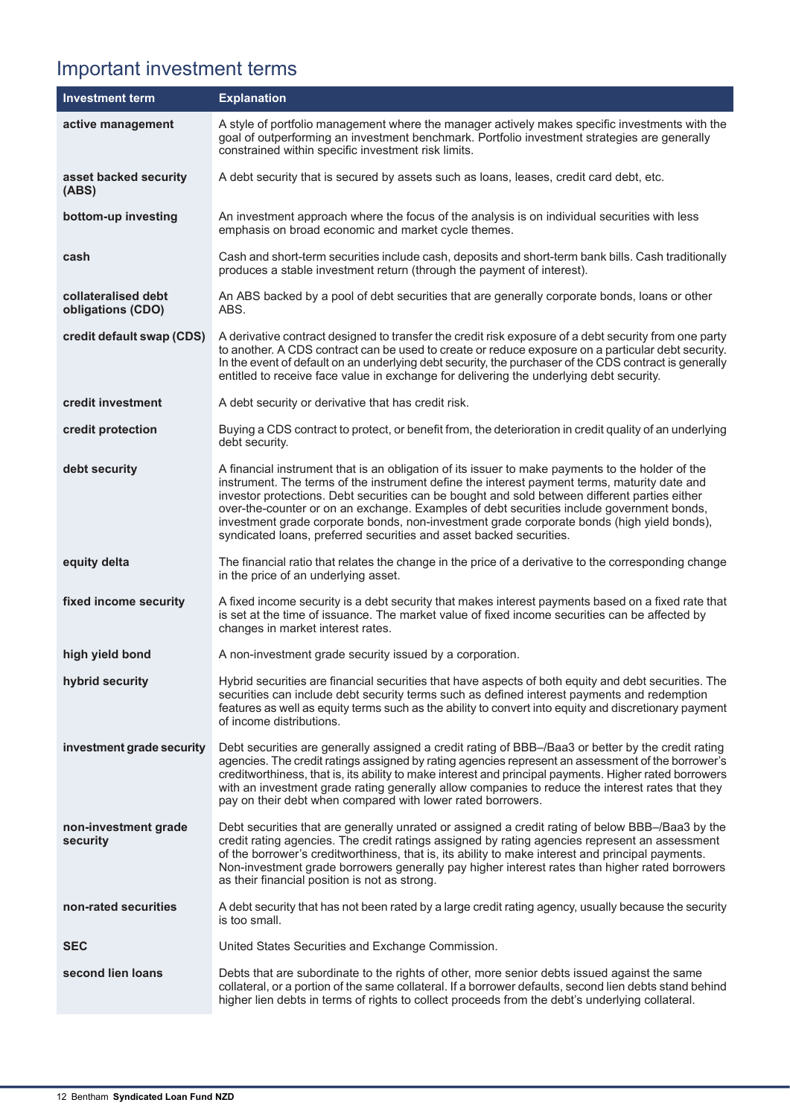# Important investment terms

| <b>Investment term</b>                   | <b>Explanation</b>                                                                                                                                                                                                                                                                                                                                                                                                                                                                                                                                                  |
|------------------------------------------|---------------------------------------------------------------------------------------------------------------------------------------------------------------------------------------------------------------------------------------------------------------------------------------------------------------------------------------------------------------------------------------------------------------------------------------------------------------------------------------------------------------------------------------------------------------------|
| active management                        | A style of portfolio management where the manager actively makes specific investments with the<br>goal of outperforming an investment benchmark. Portfolio investment strategies are generally<br>constrained within specific investment risk limits.                                                                                                                                                                                                                                                                                                               |
| asset backed security<br>(ABS)           | A debt security that is secured by assets such as loans, leases, credit card debt, etc.                                                                                                                                                                                                                                                                                                                                                                                                                                                                             |
| bottom-up investing                      | An investment approach where the focus of the analysis is on individual securities with less<br>emphasis on broad economic and market cycle themes.                                                                                                                                                                                                                                                                                                                                                                                                                 |
| cash                                     | Cash and short-term securities include cash, deposits and short-term bank bills. Cash traditionally<br>produces a stable investment return (through the payment of interest).                                                                                                                                                                                                                                                                                                                                                                                       |
| collateralised debt<br>obligations (CDO) | An ABS backed by a pool of debt securities that are generally corporate bonds, loans or other<br>ABS.                                                                                                                                                                                                                                                                                                                                                                                                                                                               |
| credit default swap (CDS)                | A derivative contract designed to transfer the credit risk exposure of a debt security from one party<br>to another. A CDS contract can be used to create or reduce exposure on a particular debt security.<br>In the event of default on an underlying debt security, the purchaser of the CDS contract is generally<br>entitled to receive face value in exchange for delivering the underlying debt security.                                                                                                                                                    |
| credit investment                        | A debt security or derivative that has credit risk.                                                                                                                                                                                                                                                                                                                                                                                                                                                                                                                 |
| credit protection                        | Buying a CDS contract to protect, or benefit from, the deterioration in credit quality of an underlying<br>debt security.                                                                                                                                                                                                                                                                                                                                                                                                                                           |
| debt security                            | A financial instrument that is an obligation of its issuer to make payments to the holder of the<br>instrument. The terms of the instrument define the interest payment terms, maturity date and<br>investor protections. Debt securities can be bought and sold between different parties either<br>over-the-counter or on an exchange. Examples of debt securities include government bonds,<br>investment grade corporate bonds, non-investment grade corporate bonds (high yield bonds),<br>syndicated loans, preferred securities and asset backed securities. |
| equity delta                             | The financial ratio that relates the change in the price of a derivative to the corresponding change<br>in the price of an underlying asset.                                                                                                                                                                                                                                                                                                                                                                                                                        |
| fixed income security                    | A fixed income security is a debt security that makes interest payments based on a fixed rate that<br>is set at the time of issuance. The market value of fixed income securities can be affected by<br>changes in market interest rates.                                                                                                                                                                                                                                                                                                                           |
| high yield bond                          | A non-investment grade security issued by a corporation.                                                                                                                                                                                                                                                                                                                                                                                                                                                                                                            |
| hybrid security                          | Hybrid securities are financial securities that have aspects of both equity and debt securities. The<br>securities can include debt security terms such as defined interest payments and redemption<br>features as well as equity terms such as the ability to convert into equity and discretionary payment<br>of income distributions.                                                                                                                                                                                                                            |
| investment grade security                | Debt securities are generally assigned a credit rating of BBB-/Baa3 or better by the credit rating<br>agencies. The credit ratings assigned by rating agencies represent an assessment of the borrower's<br>creditworthiness, that is, its ability to make interest and principal payments. Higher rated borrowers<br>with an investment grade rating generally allow companies to reduce the interest rates that they<br>pay on their debt when compared with lower rated borrowers.                                                                               |
| non-investment grade<br>security         | Debt securities that are generally unrated or assigned a credit rating of below BBB-/Baa3 by the<br>credit rating agencies. The credit ratings assigned by rating agencies represent an assessment<br>of the borrower's creditworthiness, that is, its ability to make interest and principal payments.<br>Non-investment grade borrowers generally pay higher interest rates than higher rated borrowers<br>as their financial position is not as strong.                                                                                                          |
| non-rated securities                     | A debt security that has not been rated by a large credit rating agency, usually because the security<br>is too small.                                                                                                                                                                                                                                                                                                                                                                                                                                              |
| <b>SEC</b>                               | United States Securities and Exchange Commission.                                                                                                                                                                                                                                                                                                                                                                                                                                                                                                                   |
| second lien loans                        | Debts that are subordinate to the rights of other, more senior debts issued against the same<br>collateral, or a portion of the same collateral. If a borrower defaults, second lien debts stand behind<br>higher lien debts in terms of rights to collect proceeds from the debt's underlying collateral.                                                                                                                                                                                                                                                          |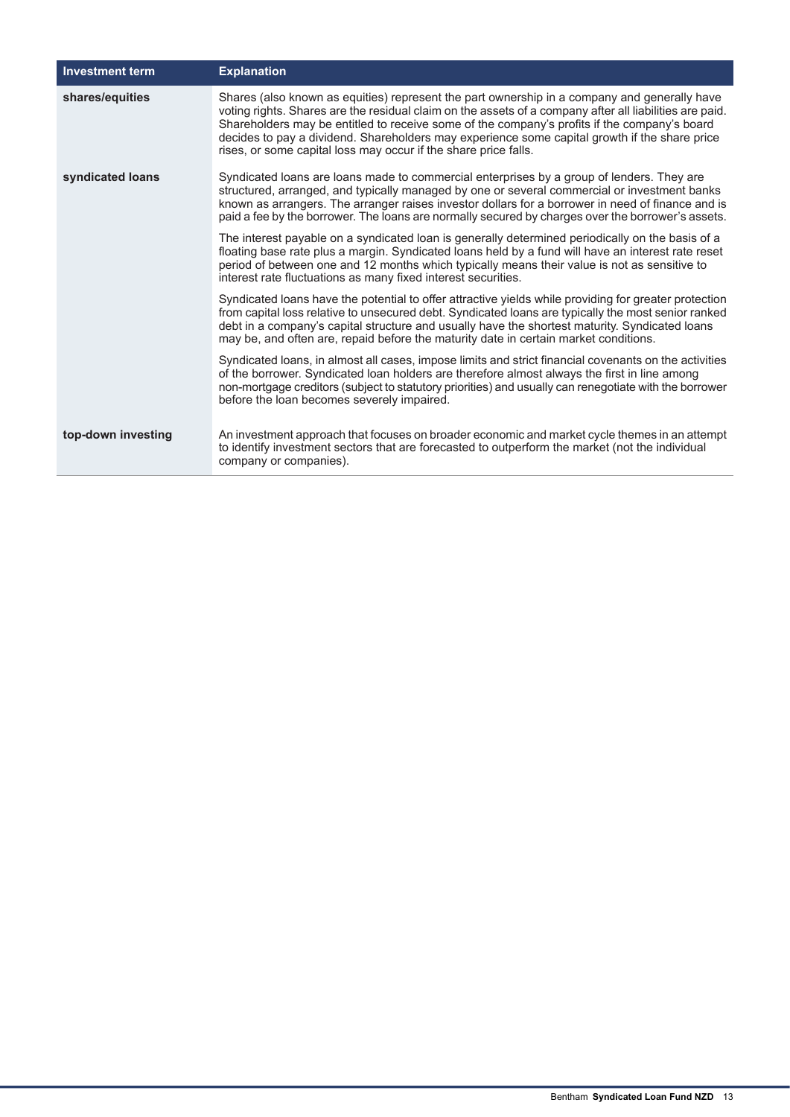| <b>Investment term</b> | <b>Explanation</b>                                                                                                                                                                                                                                                                                                                                                                                                                                                          |
|------------------------|-----------------------------------------------------------------------------------------------------------------------------------------------------------------------------------------------------------------------------------------------------------------------------------------------------------------------------------------------------------------------------------------------------------------------------------------------------------------------------|
| shares/equities        | Shares (also known as equities) represent the part ownership in a company and generally have<br>voting rights. Shares are the residual claim on the assets of a company after all liabilities are paid.<br>Shareholders may be entitled to receive some of the company's profits if the company's board<br>decides to pay a dividend. Shareholders may experience some capital growth if the share price<br>rises, or some capital loss may occur if the share price falls. |
| syndicated loans       | Syndicated loans are loans made to commercial enterprises by a group of lenders. They are<br>structured, arranged, and typically managed by one or several commercial or investment banks<br>known as arrangers. The arranger raises investor dollars for a borrower in need of finance and is<br>paid a fee by the borrower. The loans are normally secured by charges over the borrower's assets.                                                                         |
|                        | The interest payable on a syndicated loan is generally determined periodically on the basis of a<br>floating base rate plus a margin. Syndicated loans held by a fund will have an interest rate reset<br>period of between one and 12 months which typically means their value is not as sensitive to<br>interest rate fluctuations as many fixed interest securities.                                                                                                     |
|                        | Syndicated loans have the potential to offer attractive yields while providing for greater protection<br>from capital loss relative to unsecured debt. Syndicated loans are typically the most senior ranked<br>debt in a company's capital structure and usually have the shortest maturity. Syndicated loans<br>may be, and often are, repaid before the maturity date in certain market conditions.                                                                      |
|                        | Syndicated loans, in almost all cases, impose limits and strict financial covenants on the activities<br>of the borrower. Syndicated loan holders are therefore almost always the first in line among<br>non-mortgage creditors (subject to statutory priorities) and usually can renegotiate with the borrower<br>before the loan becomes severely impaired.                                                                                                               |
| top-down investing     | An investment approach that focuses on broader economic and market cycle themes in an attempt<br>to identify investment sectors that are forecasted to outperform the market (not the individual<br>company or companies).                                                                                                                                                                                                                                                  |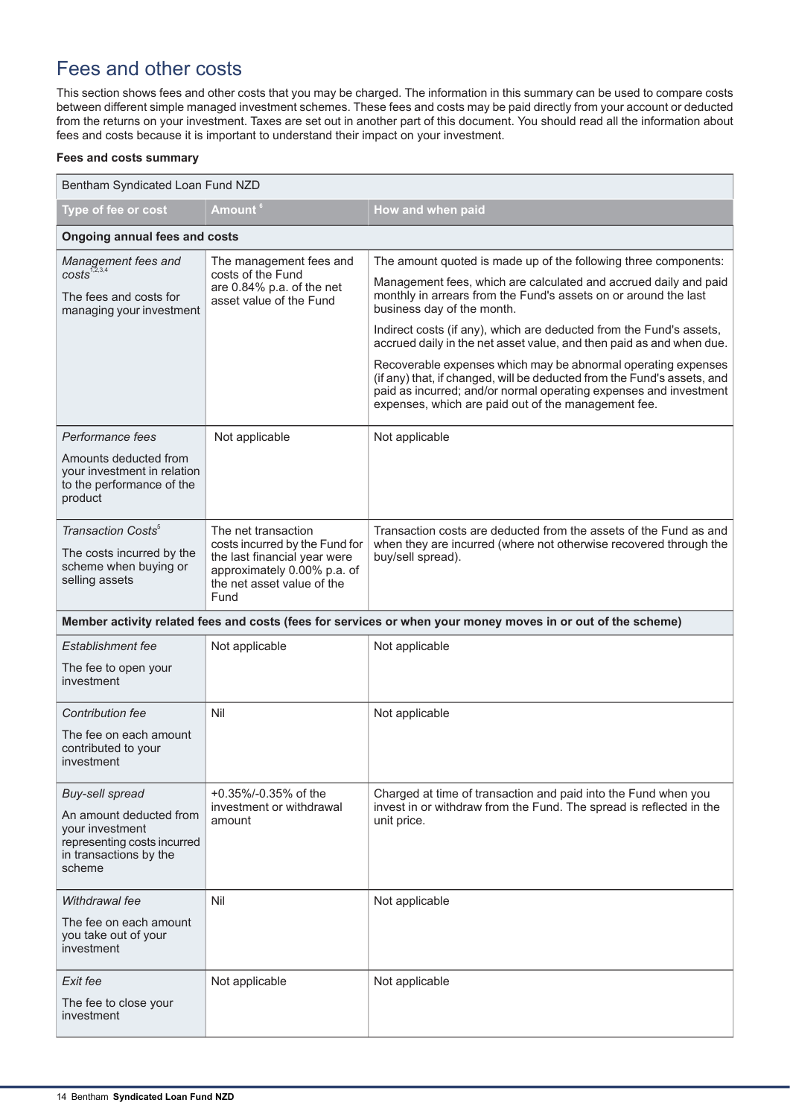# Fees and other costs

This section shows fees and other costs that you may be charged. The information in this summary can be used to compare costs between different simple managed investment schemes. These fees and costs may be paid directly from your account or deducted from the returns on your investment. Taxes are set out in another part of this document. You should read all the information about fees and costs because it is important to understand their impact on your investment.

#### **Fees and costs summary**

| Bentham Syndicated Loan Fund NZD                                                                              |                                                                                                                                     |                                                                                                                                                                                                                                                                      |  |
|---------------------------------------------------------------------------------------------------------------|-------------------------------------------------------------------------------------------------------------------------------------|----------------------------------------------------------------------------------------------------------------------------------------------------------------------------------------------------------------------------------------------------------------------|--|
| Type of fee or cost                                                                                           | Amount <sup>6</sup>                                                                                                                 | How and when paid                                                                                                                                                                                                                                                    |  |
| <b>Ongoing annual fees and costs</b>                                                                          |                                                                                                                                     |                                                                                                                                                                                                                                                                      |  |
| Management fees and<br>$costs^{1,2,3,4}$                                                                      | The management fees and<br>costs of the Fund                                                                                        | The amount quoted is made up of the following three components:                                                                                                                                                                                                      |  |
| are 0.84% p.a. of the net<br>The fees and costs for<br>asset value of the Fund<br>managing your investment    |                                                                                                                                     | Management fees, which are calculated and accrued daily and paid<br>monthly in arrears from the Fund's assets on or around the last<br>business day of the month.                                                                                                    |  |
|                                                                                                               |                                                                                                                                     | Indirect costs (if any), which are deducted from the Fund's assets,<br>accrued daily in the net asset value, and then paid as and when due.                                                                                                                          |  |
|                                                                                                               |                                                                                                                                     | Recoverable expenses which may be abnormal operating expenses<br>(if any) that, if changed, will be deducted from the Fund's assets, and<br>paid as incurred; and/or normal operating expenses and investment<br>expenses, which are paid out of the management fee. |  |
| Performance fees                                                                                              | Not applicable                                                                                                                      | Not applicable                                                                                                                                                                                                                                                       |  |
| Amounts deducted from<br>your investment in relation<br>to the performance of the<br>product                  |                                                                                                                                     |                                                                                                                                                                                                                                                                      |  |
| Transaction Costs <sup>5</sup>                                                                                | The net transaction                                                                                                                 | Transaction costs are deducted from the assets of the Fund as and<br>when they are incurred (where not otherwise recovered through the                                                                                                                               |  |
| The costs incurred by the<br>scheme when buying or<br>selling assets                                          | costs incurred by the Fund for<br>the last financial year were<br>approximately 0.00% p.a. of<br>the net asset value of the<br>Fund | buy/sell spread).                                                                                                                                                                                                                                                    |  |
|                                                                                                               |                                                                                                                                     | Member activity related fees and costs (fees for services or when your money moves in or out of the scheme)                                                                                                                                                          |  |
| <b>Establishment fee</b>                                                                                      | Not applicable                                                                                                                      | Not applicable                                                                                                                                                                                                                                                       |  |
| The fee to open your<br>investment                                                                            |                                                                                                                                     |                                                                                                                                                                                                                                                                      |  |
| <b>Contribution fee</b>                                                                                       | Nil                                                                                                                                 | Not applicable                                                                                                                                                                                                                                                       |  |
| The fee on each amount<br>contributed to your<br>investment                                                   |                                                                                                                                     |                                                                                                                                                                                                                                                                      |  |
| Buy-sell spread                                                                                               | +0.35%/-0.35% of the                                                                                                                | Charged at time of transaction and paid into the Fund when you                                                                                                                                                                                                       |  |
| An amount deducted from<br>your investment<br>representing costs incurred<br>in transactions by the<br>scheme | investment or withdrawal<br>amount                                                                                                  | invest in or withdraw from the Fund. The spread is reflected in the<br>unit price.                                                                                                                                                                                   |  |
| Withdrawal fee                                                                                                | Nil                                                                                                                                 | Not applicable                                                                                                                                                                                                                                                       |  |
| The fee on each amount<br>you take out of your<br>investment                                                  |                                                                                                                                     |                                                                                                                                                                                                                                                                      |  |
| Exit fee                                                                                                      | Not applicable                                                                                                                      | Not applicable                                                                                                                                                                                                                                                       |  |
| The fee to close your<br>investment                                                                           |                                                                                                                                     |                                                                                                                                                                                                                                                                      |  |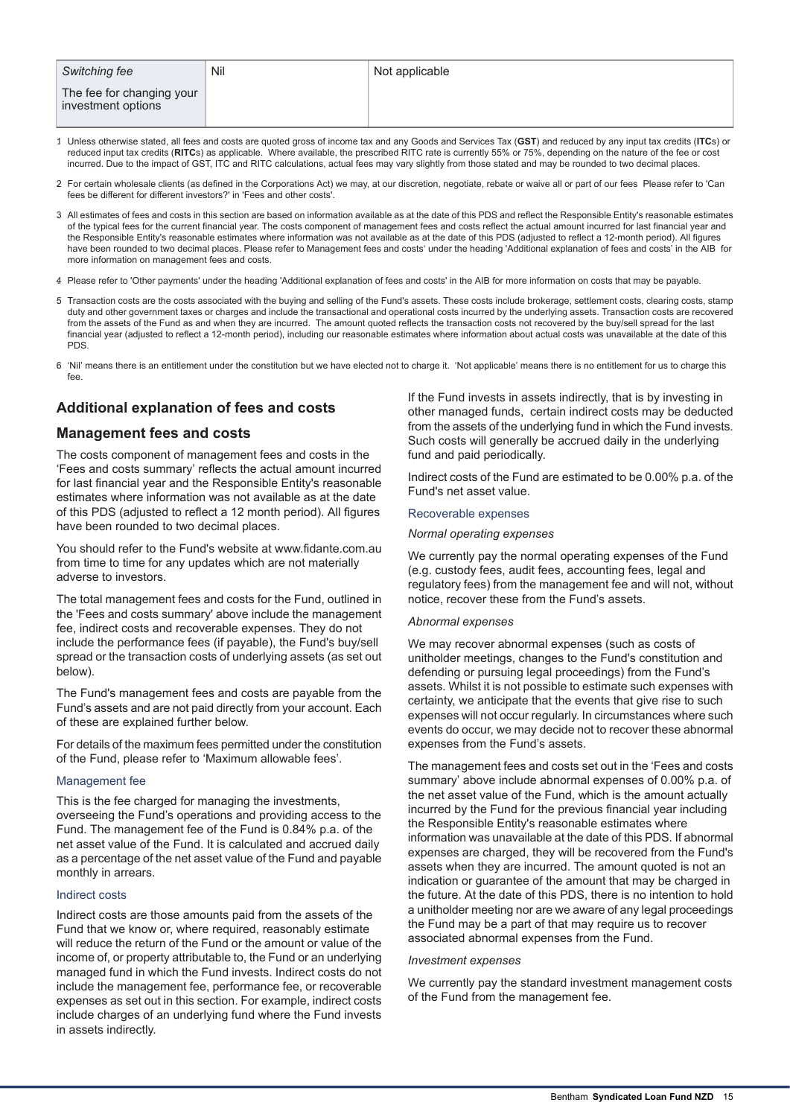| <b>Switching fee</b>                            | Nil | Not applicable |
|-------------------------------------------------|-----|----------------|
| The fee for changing your<br>investment options |     |                |

- 1. Unless otherwise stated, all fees and costs are quoted gross of income tax and any Goods and Services Tax (**GST**) and reduced by any input tax credits (**ITC**s) or reduced input tax credits (**RITC**s) as applicable. Where available, the prescribed RITC rate is currently 55% or 75%, depending on the nature of the fee or cost incurred. Due to the impact of GST, ITC and RITC calculations, actual fees may vary slightly from those stated and may be rounded to two decimal places.
- 2. For certain wholesale clients (as defined in the Corporations Act) we may, at our discretion, negotiate, rebate or waive all or part of our fees Please refer to 'Can fees be different for different investors?' in 'Fees and other costs'.
- 3. All estimates of fees and costs in this section are based on information available as at the date of this PDS and reflect the Responsible Entity's reasonable estimates of the typical fees for the current financial year. The costs component of management fees and costs reflect the actual amount incurred for last financial year and the Responsible Entity's reasonable estimates where information was not available as at the date of this PDS (adjusted to reflect a 12-month period). All figures have been rounded to two decimal places. Please refer to Management fees and costs' under the heading 'Additional explanation of fees and costs' in the AIB for more information on management fees and costs.
- 4. Please refer to 'Other payments' under the heading 'Additional explanation of fees and costs' in the AIB for more information on costs that may be payable.
- 5. Transaction costs are the costs associated with the buying and selling of the Fund's assets. These costs include brokerage, settlement costs, clearing costs, stamp duty and other government taxes or charges and include the transactional and operational costs incurred by the underlying assets. Transaction costs are recovered from the assets of the Fund as and when they are incurred. The amount quoted reflects the transaction costs not recovered by the buy/sell spread for the last financial year (adjusted to reflect a 12-month period), including our reasonable estimates where information about actual costs was unavailable at the date of this **PDS.**
- 6. 'Nil' means there is an entitlement under the constitution but we have elected not to charge it. 'Not applicable' means there is no entitlement for us to charge this fee.

## **Additional explanation of fees and costs**

## **Management fees and costs**

The costs component of management fees and costs in the 'Fees and costs summary' reflects the actual amount incurred for last financial year and the Responsible Entity's reasonable estimates where information was not available as at the date of this PDS (adjusted to reflect a 12 month period). All figures have been rounded to two decimal places.

You should refer to the Fund's website at www.fidante.com.au from time to time for any updates which are not materially adverse to investors.

The total management fees and costs for the Fund, outlined in the 'Fees and costs summary' above include the management fee, indirect costs and recoverable expenses. They do not include the performance fees (if payable), the Fund's buy/sell spread or the transaction costs of underlying assets (as set out below).

The Fund's management fees and costs are payable from the Fund's assets and are not paid directly from your account. Each of these are explained further below.

For details of the maximum fees permitted under the constitution of the Fund, please refer to 'Maximum allowable fees'.

#### Management fee

This is the fee charged for managing the investments, overseeing the Fund's operations and providing access to the Fund. The management fee of the Fund is 0.84% p.a. of the net asset value of the Fund. It is calculated and accrued daily as a percentage of the net asset value of the Fund and payable monthly in arrears.

### Indirect costs

Indirect costs are those amounts paid from the assets of the Fund that we know or, where required, reasonably estimate will reduce the return of the Fund or the amount or value of the income of, or property attributable to, the Fund or an underlying managed fund in which the Fund invests. Indirect costs do not include the management fee, performance fee, or recoverable expenses as set out in this section. For example, indirect costs include charges of an underlying fund where the Fund invests in assets indirectly.

If the Fund invests in assets indirectly, that is by investing in other managed funds, certain indirect costs may be deducted from the assets of the underlying fund in which the Fund invests. Such costs will generally be accrued daily in the underlying fund and paid periodically.

Indirect costs of the Fund are estimated to be 0.00% p.a. of the Fund's net asset value.

#### Recoverable expenses

#### *Normal operating expenses*

We currently pay the normal operating expenses of the Fund (e.g. custody fees, audit fees, accounting fees, legal and regulatory fees) from the management fee and will not, without notice, recover these from the Fund's assets.

#### *Abnormal expenses*

We may recover abnormal expenses (such as costs of unitholder meetings, changes to the Fund's constitution and defending or pursuing legal proceedings) from the Fund's assets. Whilst it is not possible to estimate such expenses with certainty, we anticipate that the events that give rise to such expenses will not occur regularly. In circumstances where such events do occur, we may decide not to recover these abnormal expenses from the Fund's assets.

The management fees and costs set out in the 'Fees and costs summary' above include abnormal expenses of 0.00% p.a. of the net asset value of the Fund, which is the amount actually incurred by the Fund for the previous financial year including the Responsible Entity's reasonable estimates where information was unavailable at the date of this PDS. If abnormal expenses are charged, they will be recovered from the Fund's assets when they are incurred. The amount quoted is not an indication or guarantee of the amount that may be charged in the future. At the date of this PDS, there is no intention to hold a unitholder meeting nor are we aware of any legal proceedings the Fund may be a part of that may require us to recover associated abnormal expenses from the Fund.

#### *Investment expenses*

We currently pay the standard investment management costs of the Fund from the management fee.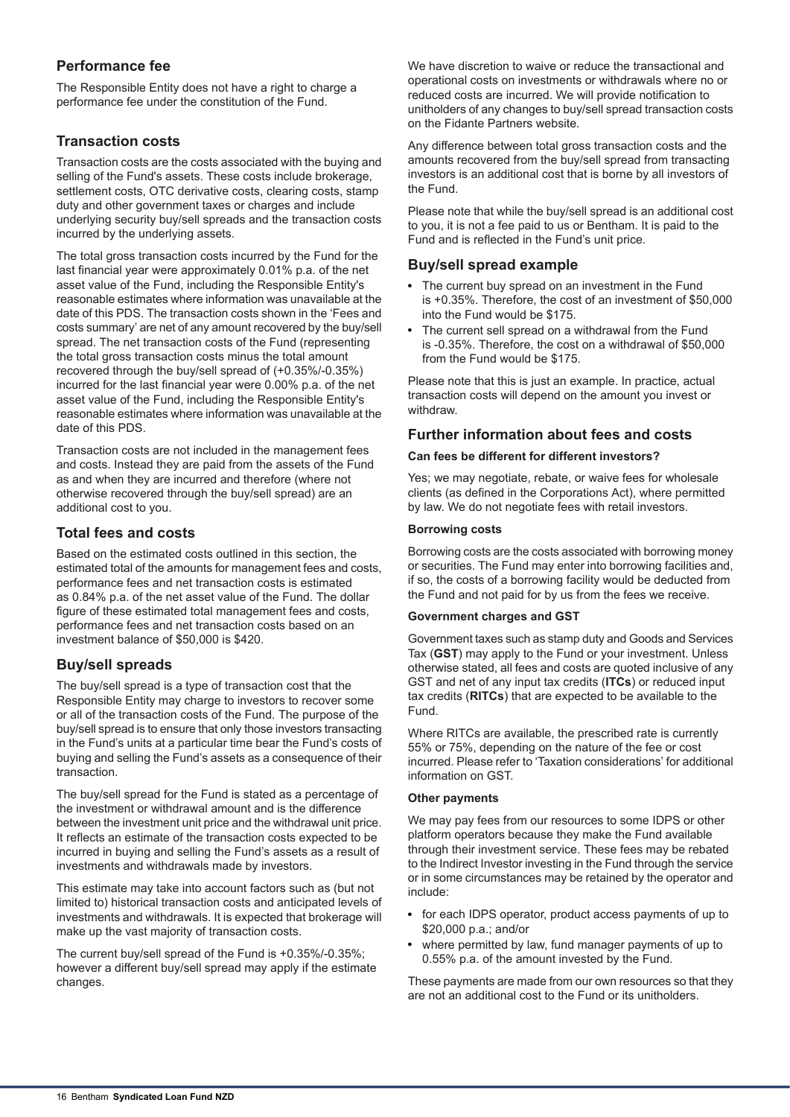## **Performance fee**

The Responsible Entity does not have a right to charge a performance fee under the constitution of the Fund.

## **Transaction costs**

Transaction costs are the costs associated with the buying and selling of the Fund's assets. These costs include brokerage, settlement costs, OTC derivative costs, clearing costs, stamp duty and other government taxes or charges and include underlying security buy/sell spreads and the transaction costs incurred by the underlying assets.

The total gross transaction costs incurred by the Fund for the last financial year were approximately 0.01% p.a. of the net asset value of the Fund, including the Responsible Entity's reasonable estimates where information was unavailable at the date of this PDS. The transaction costs shown in the 'Fees and costs summary' are net of any amount recovered by the buy/sell spread. The net transaction costs of the Fund (representing the total gross transaction costs minus the total amount recovered through the buy/sell spread of (+0.35%/-0.35%) incurred for the last financial year were 0.00% p.a. of the net asset value of the Fund, including the Responsible Entity's reasonable estimates where information was unavailable at the date of this PDS.

Transaction costs are not included in the management fees and costs. Instead they are paid from the assets of the Fund as and when they are incurred and therefore (where not otherwise recovered through the buy/sell spread) are an additional cost to you.

## **Total fees and costs**

Based on the estimated costs outlined in this section, the estimated total of the amounts for management fees and costs, performance fees and net transaction costs is estimated as 0.84% p.a. of the net asset value of the Fund. The dollar figure of these estimated total management fees and costs, performance fees and net transaction costs based on an investment balance of \$50,000 is \$420.

## **Buy/sell spreads**

The buy/sell spread is a type of transaction cost that the Responsible Entity may charge to investors to recover some or all of the transaction costs of the Fund. The purpose of the buy/sell spread is to ensure that only those investors transacting in the Fund's units at a particular time bear the Fund's costs of buying and selling the Fund's assets as a consequence of their transaction.

The buy/sell spread for the Fund is stated as a percentage of the investment or withdrawal amount and is the difference between the investment unit price and the withdrawal unit price. It reflects an estimate of the transaction costs expected to be incurred in buying and selling the Fund's assets as a result of investments and withdrawals made by investors.

This estimate may take into account factors such as (but not limited to) historical transaction costs and anticipated levels of investments and withdrawals. It is expected that brokerage will make up the vast majority of transaction costs.

The current buy/sell spread of the Fund is +0.35%/-0.35%; however a different buy/sell spread may apply if the estimate changes.

We have discretion to waive or reduce the transactional and operational costs on investments or withdrawals where no or reduced costs are incurred. We will provide notification to unitholders of any changes to buy/sell spread transaction costs on the Fidante Partners website.

Any difference between total gross transaction costs and the amounts recovered from the buy/sell spread from transacting investors is an additional cost that is borne by all investors of the Fund.

Please note that while the buy/sell spread is an additional cost to you, it is not a fee paid to us or Bentham. It is paid to the Fund and is reflected in the Fund's unit price.

## **Buy/sell spread example**

- The current buy spread on an investment in the Fund is +0.35%. Therefore, the cost of an investment of \$50,000 into the Fund would be \$175.
- The current sell spread on a withdrawal from the Fund is -0.35%. Therefore, the cost on a withdrawal of \$50,000 from the Fund would be \$175.

Please note that this is just an example. In practice, actual transaction costs will depend on the amount you invest or withdraw.

## **Further information about fees and costs**

### **Can fees be different for different investors?**

Yes; we may negotiate, rebate, or waive fees for wholesale clients (as defined in the Corporations Act), where permitted by law. We do not negotiate fees with retail investors.

### **Borrowing costs**

Borrowing costs are the costs associated with borrowing money or securities. The Fund may enter into borrowing facilities and, if so, the costs of a borrowing facility would be deducted from the Fund and not paid for by us from the fees we receive.

### **Government charges and GST**

Government taxes such as stamp duty and Goods and Services Tax (**GST**) may apply to the Fund or your investment. Unless otherwise stated, all fees and costs are quoted inclusive of any GST and net of any input tax credits (**ITCs**) or reduced input tax credits (**RITCs**) that are expected to be available to the Fund.

Where RITCs are available, the prescribed rate is currently 55% or 75%, depending on the nature of the fee or cost incurred. Please refer to 'Taxation considerations' for additional information on GST.

### **Other payments**

We may pay fees from our resources to some IDPS or other platform operators because they make the Fund available through their investment service. These fees may be rebated to the Indirect Investor investing in the Fund through the service or in some circumstances may be retained by the operator and include:

- for each IDPS operator, product access payments of up to \$20,000 p.a.; and/or
- where permitted by law, fund manager payments of up to 0.55% p.a. of the amount invested by the Fund.

These payments are made from our own resources so that they are not an additional cost to the Fund or its unitholders.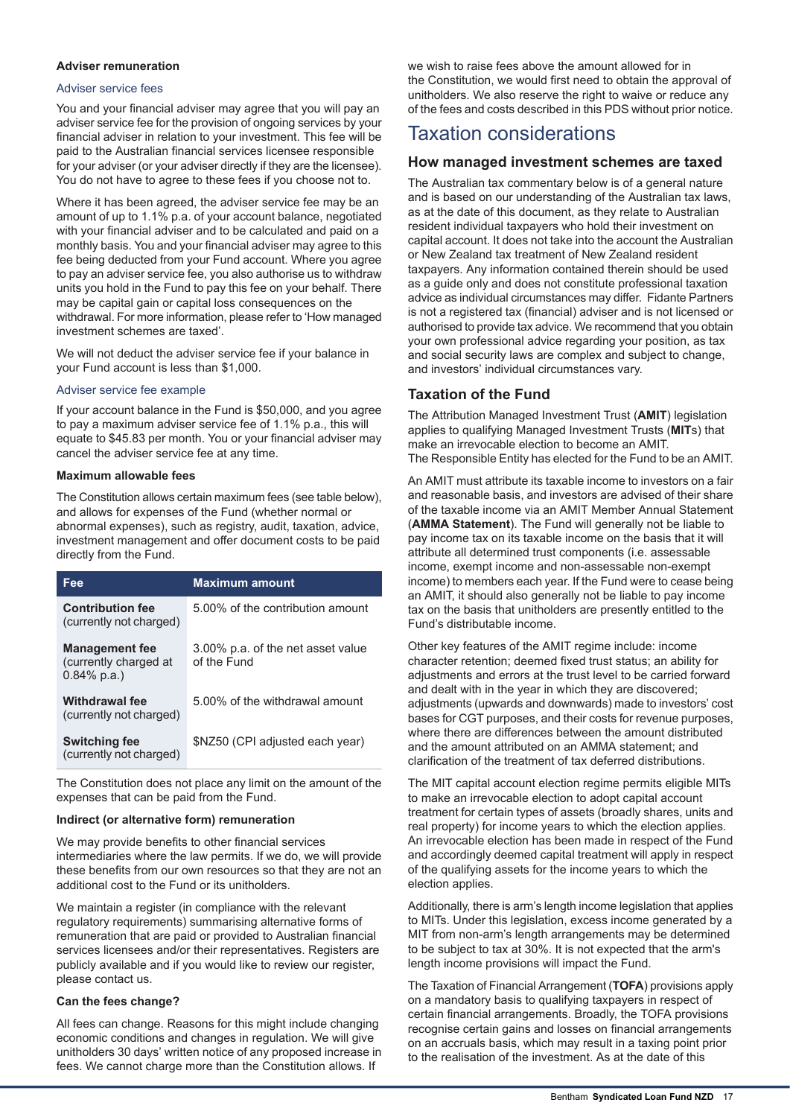#### **Adviser remuneration**

#### Adviser service fees

You and your financial adviser may agree that you will pay an adviser service fee for the provision of ongoing services by your financial adviser in relation to your investment. This fee will be paid to the Australian financial services licensee responsible for your adviser (or your adviser directly if they are the licensee). You do not have to agree to these fees if you choose not to.

Where it has been agreed, the adviser service fee may be an amount of up to 1.1% p.a. of your account balance, negotiated with your financial adviser and to be calculated and paid on a monthly basis. You and your financial adviser may agree to this fee being deducted from your Fund account. Where you agree to pay an adviser service fee, you also authorise us to withdraw units you hold in the Fund to pay this fee on your behalf. There may be capital gain or capital loss consequences on the withdrawal. For more information, please refer to 'How managed investment schemes are taxed'.

We will not deduct the adviser service fee if your balance in your Fund account is less than \$1,000.

#### Adviser service fee example

If your account balance in the Fund is \$50,000, and you agree to pay a maximum adviser service fee of 1.1% p.a., this will equate to \$45.83 per month. You or your financial adviser may cancel the adviser service fee at any time.

#### **Maximum allowable fees**

The Constitution allows certain maximum fees (see table below), and allows for expenses of the Fund (whether normal or abnormal expenses), such as registry, audit, taxation, advice, investment management and offer document costs to be paid directly from the Fund.

| Fee                                                              | <b>Maximum amount</b>                            |
|------------------------------------------------------------------|--------------------------------------------------|
| <b>Contribution fee</b><br>(currently not charged)               | 5.00% of the contribution amount                 |
| <b>Management fee</b><br>(currently charged at<br>$0.84\%$ p.a.) | 3.00% p.a. of the net asset value<br>of the Fund |
| Withdrawal fee<br>(currently not charged)                        | 5.00% of the withdrawal amount                   |
| <b>Switching fee</b><br>(currently not charged)                  | \$NZ50 (CPI adjusted each year)                  |

The Constitution does not place any limit on the amount of the expenses that can be paid from the Fund.

#### **Indirect (or alternative form) remuneration**

We may provide benefits to other financial services intermediaries where the law permits. If we do, we will provide these benefits from our own resources so that they are not an additional cost to the Fund or its unitholders.

We maintain a register (in compliance with the relevant regulatory requirements) summarising alternative forms of remuneration that are paid or provided to Australian financial services licensees and/or their representatives. Registers are publicly available and if you would like to review our register, please contact us.

#### **Can the fees change?**

All fees can change. Reasons for this might include changing economic conditions and changes in regulation. We will give unitholders 30 days' written notice of any proposed increase in fees. We cannot charge more than the Constitution allows. If

we wish to raise fees above the amount allowed for in the Constitution, we would first need to obtain the approval of unitholders. We also reserve the right to waive or reduce any of the fees and costs described in this PDS without prior notice.

## Taxation considerations

## **How managed investment schemes are taxed**

The Australian tax commentary below is of a general nature and is based on our understanding of the Australian tax laws, as at the date of this document, as they relate to Australian resident individual taxpayers who hold their investment on capital account. It does not take into the account the Australian or New Zealand tax treatment of New Zealand resident taxpayers. Any information contained therein should be used as a guide only and does not constitute professional taxation advice as individual circumstances may differ. Fidante Partners is not a registered tax (financial) adviser and is not licensed or authorised to provide tax advice. We recommend that you obtain your own professional advice regarding your position, as tax and social security laws are complex and subject to change, and investors' individual circumstances vary.

## **Taxation of the Fund**

The Attribution Managed Investment Trust (**AMIT**) legislation applies to qualifying Managed Investment Trusts (**MIT**s) that make an irrevocable election to become an AMIT. The Responsible Entity has elected for the Fund to be an AMIT.

An AMIT must attribute its taxable income to investors on a fair and reasonable basis, and investors are advised of their share of the taxable income via an AMIT Member Annual Statement (**AMMA Statement**). The Fund will generally not be liable to pay income tax on its taxable income on the basis that it will attribute all determined trust components (i.e. assessable income, exempt income and non-assessable non-exempt income) to members each year. If the Fund were to cease being an AMIT, it should also generally not be liable to pay income tax on the basis that unitholders are presently entitled to the Fund's distributable income.

Other key features of the AMIT regime include: income character retention; deemed fixed trust status; an ability for adjustments and errors at the trust level to be carried forward and dealt with in the year in which they are discovered; adjustments (upwards and downwards) made to investors' cost bases for CGT purposes, and their costs for revenue purposes, where there are differences between the amount distributed and the amount attributed on an AMMA statement; and clarification of the treatment of tax deferred distributions.

The MIT capital account election regime permits eligible MITs to make an irrevocable election to adopt capital account treatment for certain types of assets (broadly shares, units and real property) for income years to which the election applies. An irrevocable election has been made in respect of the Fund and accordingly deemed capital treatment will apply in respect of the qualifying assets for the income years to which the election applies.

Additionally, there is arm's length income legislation that applies to MITs. Under this legislation, excess income generated by a MIT from non-arm's length arrangements may be determined to be subject to tax at 30%. It is not expected that the arm's length income provisions will impact the Fund.

The Taxation of Financial Arrangement (**TOFA**) provisions apply on a mandatory basis to qualifying taxpayers in respect of certain financial arrangements. Broadly, the TOFA provisions recognise certain gains and losses on financial arrangements on an accruals basis, which may result in a taxing point prior to the realisation of the investment. As at the date of this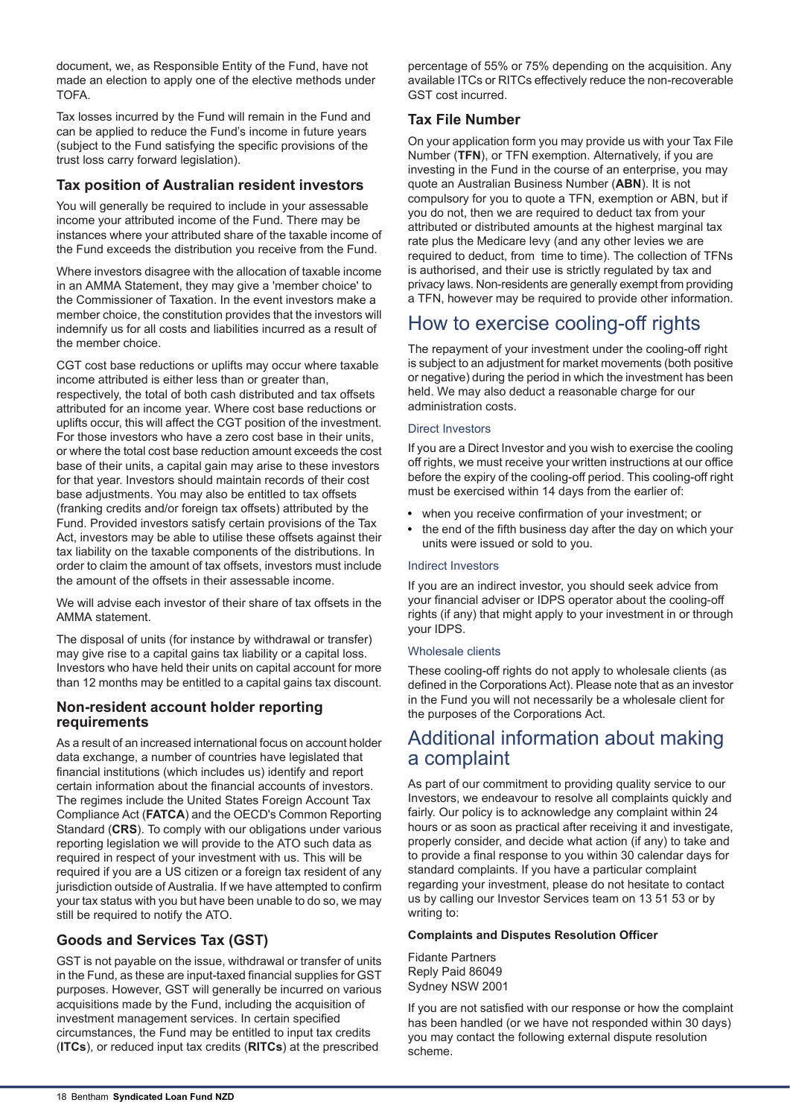document, we, as Responsible Entity of the Fund, have not made an election to apply one of the elective methods under TOFA.

Tax losses incurred by the Fund will remain in the Fund and can be applied to reduce the Fund's income in future years (subject to the Fund satisfying the specific provisions of the trust loss carry forward legislation).

## **Tax position of Australian resident investors**

You will generally be required to include in your assessable income your attributed income of the Fund. There may be instances where your attributed share of the taxable income of the Fund exceeds the distribution you receive from the Fund.

Where investors disagree with the allocation of taxable income in an AMMA Statement, they may give a 'member choice' to the Commissioner of Taxation. In the event investors make a member choice, the constitution provides that the investors will indemnify us for all costs and liabilities incurred as a result of the member choice.

CGT cost base reductions or uplifts may occur where taxable income attributed is either less than or greater than, respectively, the total of both cash distributed and tax offsets attributed for an income year. Where cost base reductions or uplifts occur, this will affect the CGT position of the investment. For those investors who have a zero cost base in their units, or where the total cost base reduction amount exceeds the cost base of their units, a capital gain may arise to these investors for that year. Investors should maintain records of their cost base adjustments. You may also be entitled to tax offsets (franking credits and/or foreign tax offsets) attributed by the Fund. Provided investors satisfy certain provisions of the Tax Act, investors may be able to utilise these offsets against their tax liability on the taxable components of the distributions. In order to claim the amount of tax offsets, investors must include the amount of the offsets in their assessable income.

We will advise each investor of their share of tax offsets in the AMMA statement.

The disposal of units (for instance by withdrawal or transfer) may give rise to a capital gains tax liability or a capital loss. Investors who have held their units on capital account for more than 12 months may be entitled to a capital gains tax discount.

## **Non-resident account holder reporting requirements**

As a result of an increased international focus on account holder data exchange, a number of countries have legislated that financial institutions (which includes us) identify and report certain information about the financial accounts of investors. The regimes include the United States Foreign Account Tax Compliance Act (**FATCA**) and the OECD's Common Reporting Standard (**CRS**). To comply with our obligations under various reporting legislation we will provide to the ATO such data as required in respect of your investment with us. This will be required if you are a US citizen or a foreign tax resident of any jurisdiction outside of Australia. If we have attempted to confirm your tax status with you but have been unable to do so, we may still be required to notify the ATO.

## **Goods and Services Tax (GST)**

GST is not payable on the issue, withdrawal or transfer of units in the Fund, as these are input-taxed financial supplies for GST purposes. However, GST will generally be incurred on various acquisitions made by the Fund, including the acquisition of investment management services. In certain specified circumstances, the Fund may be entitled to input tax credits (**ITCs**), or reduced input tax credits (**RITCs**) at the prescribed

percentage of 55% or 75% depending on the acquisition. Any available ITCs or RITCs effectively reduce the non-recoverable GST cost incurred.

## **Tax File Number**

On your application form you may provide us with your Tax File Number (**TFN**), or TFN exemption. Alternatively, if you are investing in the Fund in the course of an enterprise, you may quote an Australian Business Number (**ABN**). It is not compulsory for you to quote a TFN, exemption or ABN, but if you do not, then we are required to deduct tax from your attributed or distributed amounts at the highest marginal tax rate plus the Medicare levy (and any other levies we are required to deduct, from time to time). The collection of TFNs is authorised, and their use is strictly regulated by tax and privacy laws. Non-residents are generally exempt from providing a TFN, however may be required to provide other information.

# How to exercise cooling-off rights

The repayment of your investment under the cooling-off right is subject to an adjustment for market movements (both positive or negative) during the period in which the investment has been held. We may also deduct a reasonable charge for our administration costs.

### Direct Investors

If you are a Direct Investor and you wish to exercise the cooling off rights, we must receive your written instructions at our office before the expiry of the cooling-off period. This cooling-off right must be exercised within 14 days from the earlier of:

- when you receive confirmation of your investment; or
- the end of the fifth business day after the day on which your units were issued or sold to you.

### Indirect Investors

If you are an indirect investor, you should seek advice from your financial adviser or IDPS operator about the cooling-off rights (if any) that might apply to your investment in or through your IDPS.

### Wholesale clients

These cooling-off rights do not apply to wholesale clients (as defined in the Corporations Act). Please note that as an investor in the Fund you will not necessarily be a wholesale client for the purposes of the Corporations Act.

## Additional information about making a complaint

As part of our commitment to providing quality service to our Investors, we endeavour to resolve all complaints quickly and fairly. Our policy is to acknowledge any complaint within 24 hours or as soon as practical after receiving it and investigate, properly consider, and decide what action (if any) to take and to provide a final response to you within 30 calendar days for standard complaints. If you have a particular complaint regarding your investment, please do not hesitate to contact us by calling our Investor Services team on 13 51 53 or by writing to:

### **Complaints and Disputes Resolution Officer**

Fidante Partners Reply Paid 86049 Sydney NSW 2001

If you are not satisfied with our response or how the complaint has been handled (or we have not responded within 30 days) you may contact the following external dispute resolution scheme.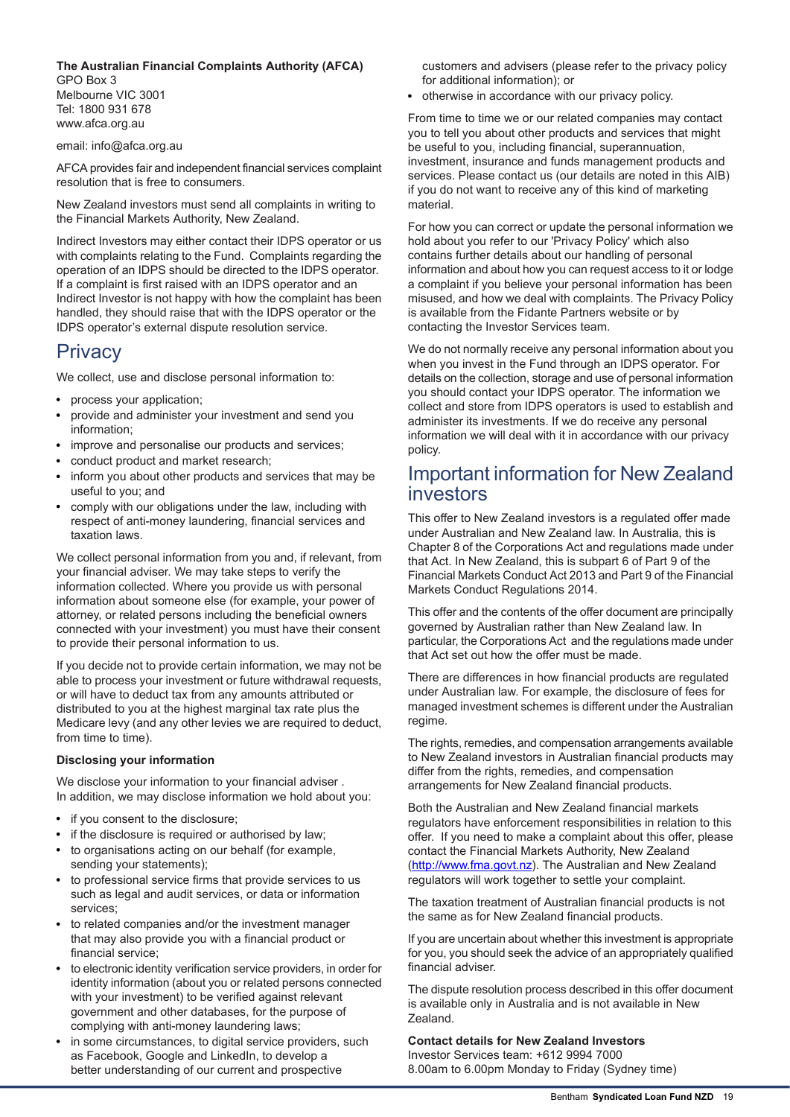#### **The Australian Financial Complaints Authority (AFCA)** GPO Box 3 Melbourne VIC 3001 Tel: 1800 931 678 www.afca.org.au

email: info@afca.org.au

AFCA provides fair and independent financial services complaint resolution that is free to consumers.

New Zealand investors must send all complaints in writing to the Financial Markets Authority, New Zealand.

Indirect Investors may either contact their IDPS operator or us with complaints relating to the Fund. Complaints regarding the operation of an IDPS should be directed to the IDPS operator. If a complaint is first raised with an IDPS operator and an Indirect Investor is not happy with how the complaint has been handled, they should raise that with the IDPS operator or the IDPS operator's external dispute resolution service.

# Privacy

We collect, use and disclose personal information to:

- process your application;
- provide and administer your investment and send you information;
- improve and personalise our products and services;
- conduct product and market research;
- inform you about other products and services that may be useful to you; and
- comply with our obligations under the law, including with respect of anti-money laundering, financial services and taxation laws.

We collect personal information from you and, if relevant, from your financial adviser. We may take steps to verify the information collected. Where you provide us with personal information about someone else (for example, your power of attorney, or related persons including the beneficial owners connected with your investment) you must have their consent to provide their personal information to us.

If you decide not to provide certain information, we may not be able to process your investment or future withdrawal requests, or will have to deduct tax from any amounts attributed or distributed to you at the highest marginal tax rate plus the Medicare levy (and any other levies we are required to deduct, from time to time).

### **Disclosing your information**

We disclose your information to your financial adviser . In addition, we may disclose information we hold about you:

- if you consent to the disclosure;
- if the disclosure is required or authorised by law;
- to organisations acting on our behalf (for example, sending your statements);
- to professional service firms that provide services to us such as legal and audit services, or data or information services;
- to related companies and/or the investment manager that may also provide you with a financial product or financial service;
- to electronic identity verification service providers, in order for identity information (about you or related persons connected with your investment) to be verified against relevant government and other databases, for the purpose of complying with anti-money laundering laws;
- in some circumstances, to digital service providers, such as Facebook, Google and LinkedIn, to develop a better understanding of our current and prospective

customers and advisers (please refer to the privacy policy for additional information); or

otherwise in accordance with our privacy policy.

From time to time we or our related companies may contact you to tell you about other products and services that might be useful to you, including financial, superannuation, investment, insurance and funds management products and services. Please contact us (our details are noted in this AIB) if you do not want to receive any of this kind of marketing material.

For how you can correct or update the personal information we hold about you refer to our 'Privacy Policy' which also contains further details about our handling of personal information and about how you can request access to it or lodge a complaint if you believe your personal information has been misused, and how we deal with complaints. The Privacy Policy is available from the Fidante Partners website or by contacting the Investor Services team.

We do not normally receive any personal information about you when you invest in the Fund through an IDPS operator. For details on the collection, storage and use of personal information you should contact your IDPS operator. The information we collect and store from IDPS operators is used to establish and administer its investments. If we do receive any personal information we will deal with it in accordance with our privacy policy.

## Important information for New Zealand investors

This offer to New Zealand investors is a regulated offer made under Australian and New Zealand law. In Australia, this is Chapter 8 of the Corporations Act and regulations made under that Act. In New Zealand, this is subpart 6 of Part 9 of the Financial Markets Conduct Act 2013 and Part 9 of the Financial Markets Conduct Regulations 2014.

This offer and the contents of the offer document are principally governed by Australian rather than New Zealand law. In particular, the Corporations Act and the regulations made under that Act set out how the offer must be made.

There are differences in how financial products are regulated under Australian law. For example, the disclosure of fees for managed investment schemes is different under the Australian regime.

The rights, remedies, and compensation arrangements available to New Zealand investors in Australian financial products may differ from the rights, remedies, and compensation arrangements for New Zealand financial products.

Both the Australian and New Zealand financial markets regulators have enforcement responsibilities in relation to this offer. If you need to make a complaint about this offer, please contact the Financial Markets Authority, New Zealand (http://www.fma.govt.nz). The Australian and New Zealand regulators will work together to settle your complaint.

The taxation treatment of Australian financial products is not the same as for New Zealand financial products.

If you are uncertain about whether this investment is appropriate for you, you should seek the advice of an appropriately qualified financial adviser.

The dispute resolution process described in this offer document is available only in Australia and is not available in New Zealand.

## **Contact details for New Zealand Investors**

Investor Services team: +612 9994 7000 8.00am to 6.00pm Monday to Friday (Sydney time)